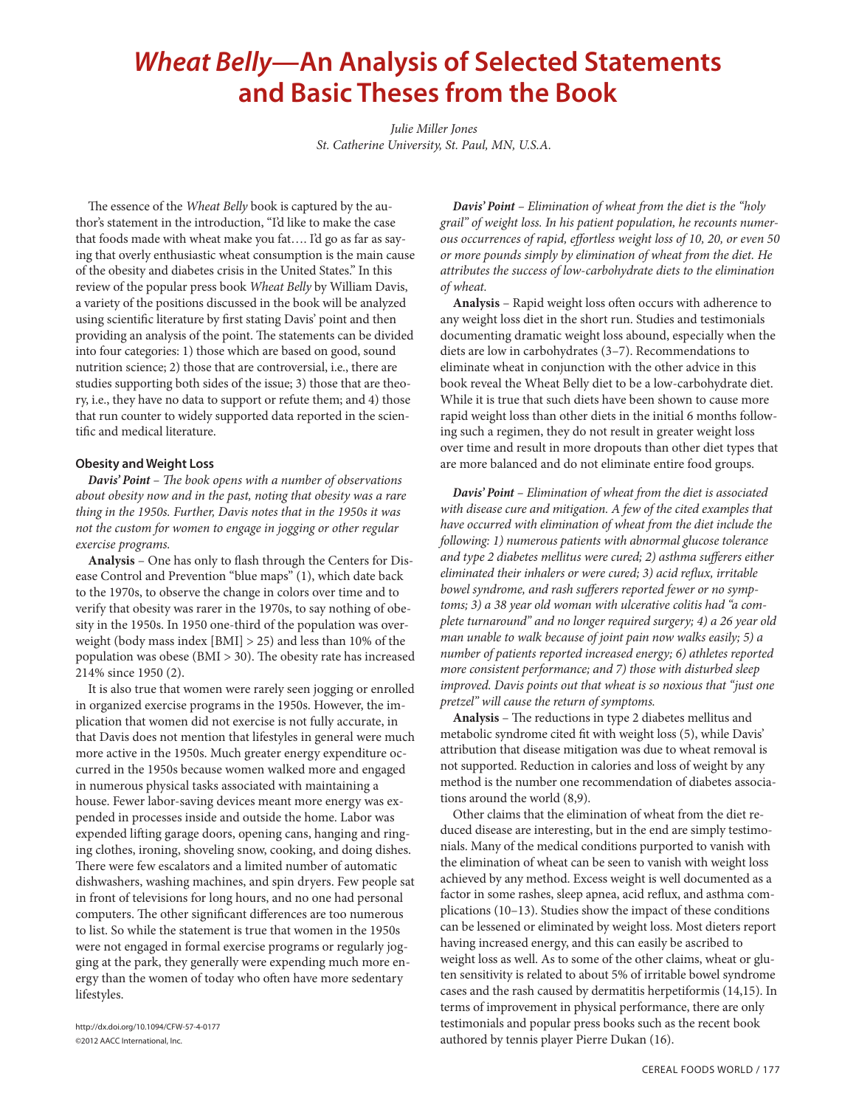# *Wheat Belly***—An Analysis of Selected Statements and Basic Theses from the Book**

*Julie Miller Jones St. Catherine University, St. Paul, MN, U.S.A.*

The essence of the *Wheat Belly* book is captured by the author's statement in the introduction, "I'd like to make the case that foods made with wheat make you fat…. I'd go as far as saying that overly enthusiastic wheat consumption is the main cause of the obesity and diabetes crisis in the United States." In this review of the popular press book *Wheat Belly* by William Davis, a variety of the positions discussed in the book will be analyzed using scientific literature by first stating Davis' point and then providing an analysis of the point. The statements can be divided into four categories: 1) those which are based on good, sound nutrition science; 2) those that are controversial, i.e., there are studies supporting both sides of the issue; 3) those that are theory, i.e., they have no data to support or refute them; and 4) those that run counter to widely supported data reported in the scientific and medical literature.

# **Obesity and Weight Loss**

*Davis' Point – The book opens with a number of observations about obesity now and in the past, noting that obesity was a rare thing in the 1950s. Further, Davis notes that in the 1950s it was not the custom for women to engage in jogging or other regular exercise programs.*

**Analysis** – One has only to flash through the Centers for Disease Control and Prevention "blue maps" (1), which date back to the 1970s, to observe the change in colors over time and to verify that obesity was rarer in the 1970s, to say nothing of obesity in the 1950s. In 1950 one-third of the population was overweight (body mass index [BMI] > 25) and less than 10% of the population was obese (BMI > 30). The obesity rate has increased 214% since 1950 (2).

It is also true that women were rarely seen jogging or enrolled in organized exercise programs in the 1950s. However, the implication that women did not exercise is not fully accurate, in that Davis does not mention that lifestyles in general were much more active in the 1950s. Much greater energy expenditure occurred in the 1950s because women walked more and engaged in numerous physical tasks associated with maintaining a house. Fewer labor-saving devices meant more energy was expended in processes inside and outside the home. Labor was expended lifting garage doors, opening cans, hanging and ringing clothes, ironing, shoveling snow, cooking, and doing dishes. There were few escalators and a limited number of automatic dishwashers, washing machines, and spin dryers. Few people sat in front of televisions for long hours, and no one had personal computers. The other significant differences are too numerous to list. So while the statement is true that women in the 1950s were not engaged in formal exercise programs or regularly jogging at the park, they generally were expending much more energy than the women of today who often have more sedentary lifestyles.

*Davis' Point – Elimination of wheat from the diet is the "holy grail" of weight loss. In his patient population, he recounts numerous occurrences of rapid, effortless weight loss of 10, 20, or even 50 or more pounds simply by elimination of wheat from the diet. He attributes the success of low-carbohydrate diets to the elimination of wheat.*

**Analysis** – Rapid weight loss often occurs with adherence to any weight loss diet in the short run. Studies and testimonials documenting dramatic weight loss abound, especially when the diets are low in carbohydrates (3–7). Recommendations to eliminate wheat in conjunction with the other advice in this book reveal the Wheat Belly diet to be a low-carbohydrate diet. While it is true that such diets have been shown to cause more rapid weight loss than other diets in the initial 6 months following such a regimen, they do not result in greater weight loss over time and result in more dropouts than other diet types that are more balanced and do not eliminate entire food groups.

*Davis' Point – Elimination of wheat from the diet is associated with disease cure and mitigation. A few of the cited examples that have occurred with elimination of wheat from the diet include the following: 1) numerous patients with abnormal glucose tolerance and type 2 diabetes mellitus were cured; 2) asthma sufferers either eliminated their inhalers or were cured; 3) acid reflux, irritable bowel syndrome, and rash sufferers reported fewer or no symptoms; 3) a 38 year old woman with ulcerative colitis had "a complete turnaround" and no longer required surgery; 4) a 26 year old man unable to walk because of joint pain now walks easily; 5) a number of patients reported increased energy; 6) athletes reported more consistent performance; and 7) those with disturbed sleep improved. Davis points out that wheat is so noxious that "just one pretzel" will cause the return of symptoms.*

**Analysis** – The reductions in type 2 diabetes mellitus and metabolic syndrome cited fit with weight loss (5), while Davis' attribution that disease mitigation was due to wheat removal is not supported. Reduction in calories and loss of weight by any method is the number one recommendation of diabetes associations around the world (8,9).

Other claims that the elimination of wheat from the diet reduced disease are interesting, but in the end are simply testimonials. Many of the medical conditions purported to vanish with the elimination of wheat can be seen to vanish with weight loss achieved by any method. Excess weight is well documented as a factor in some rashes, sleep apnea, acid reflux, and asthma complications (10–13). Studies show the impact of these conditions can be lessened or eliminated by weight loss. Most dieters report having increased energy, and this can easily be ascribed to weight loss as well. As to some of the other claims, wheat or gluten sensitivity is related to about 5% of irritable bowel syndrome cases and the rash caused by dermatitis herpetiformis (14,15). In terms of improvement in physical performance, there are only testimonials and popular press books such as the recent book authored by tennis player Pierre Dukan (16).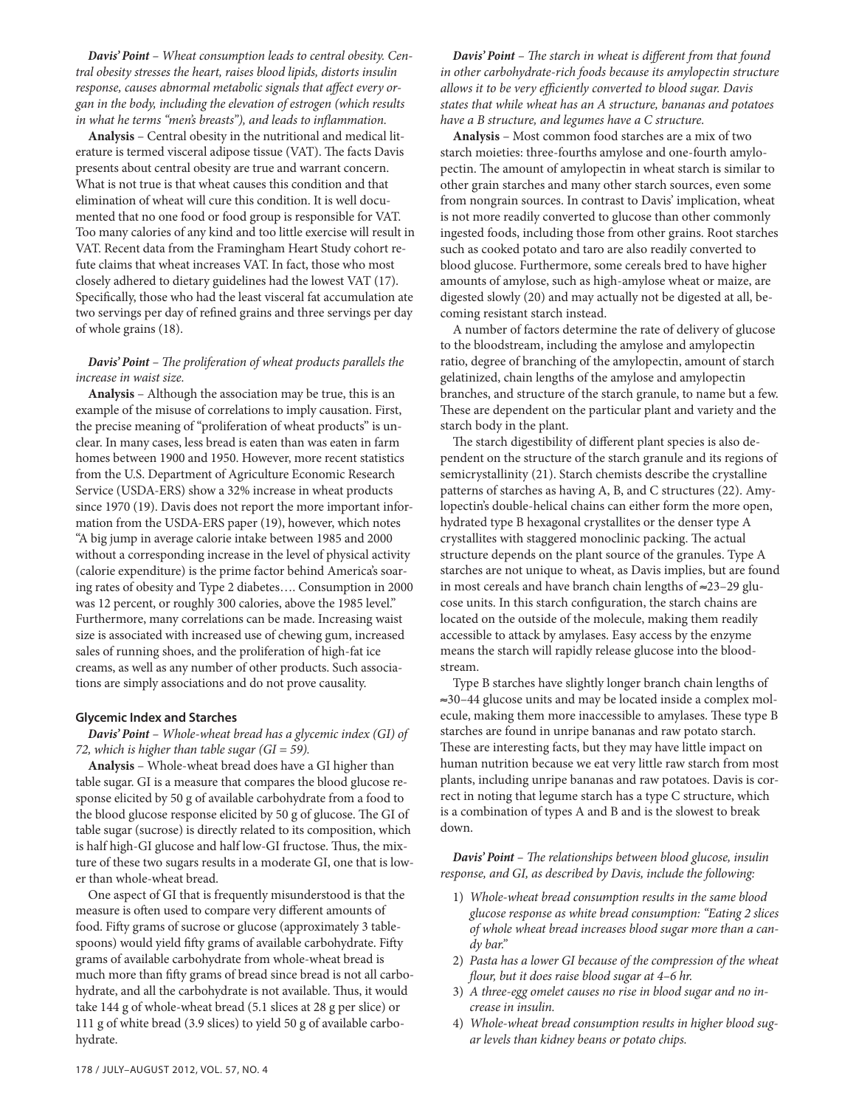*Davis' Point – Wheat consumption leads to central obesity. Central obesity stresses the heart, raises blood lipids, distorts insulin response, causes abnormal metabolic signals that affect every organ in the body, including the elevation of estrogen (which results in what he terms "men's breasts"), and leads to inflammation.*

**Analysis** – Central obesity in the nutritional and medical literature is termed visceral adipose tissue (VAT). The facts Davis presents about central obesity are true and warrant concern. What is not true is that wheat causes this condition and that elimination of wheat will cure this condition. It is well documented that no one food or food group is responsible for VAT. Too many calories of any kind and too little exercise will result in VAT. Recent data from the Framingham Heart Study cohort refute claims that wheat increases VAT. In fact, those who most closely adhered to dietary guidelines had the lowest VAT (17). Specifically, those who had the least visceral fat accumulation ate two servings per day of refined grains and three servings per day of whole grains (18).

# *Davis' Point – The proliferation of wheat products parallels the increase in waist size.*

**Analysis** – Although the association may be true, this is an example of the misuse of correlations to imply causation. First, the precise meaning of "proliferation of wheat products" is unclear. In many cases, less bread is eaten than was eaten in farm homes between 1900 and 1950. However, more recent statistics from the U.S. Department of Agriculture Economic Research Service (USDA-ERS) show a 32% increase in wheat products since 1970 (19). Davis does not report the more important information from the USDA-ERS paper (19), however, which notes "A big jump in average calorie intake between 1985 and 2000 without a corresponding increase in the level of physical activity (calorie expenditure) is the prime factor behind America's soaring rates of obesity and Type 2 diabetes…. Consumption in 2000 was 12 percent, or roughly 300 calories, above the 1985 level." Furthermore, many correlations can be made. Increasing waist size is associated with increased use of chewing gum, increased sales of running shoes, and the proliferation of high-fat ice creams, as well as any number of other products. Such associations are simply associations and do not prove causality.

#### **Glycemic Index and Starches**

*Davis' Point – Whole-wheat bread has a glycemic index (GI) of 72, which is higher than table sugar (GI = 59).*

**Analysis** – Whole-wheat bread does have a GI higher than table sugar. GI is a measure that compares the blood glucose response elicited by 50 g of available carbohydrate from a food to the blood glucose response elicited by 50 g of glucose. The GI of table sugar (sucrose) is directly related to its composition, which is half high-GI glucose and half low-GI fructose. Thus, the mixture of these two sugars results in a moderate GI, one that is lower than whole-wheat bread.

One aspect of GI that is frequently misunderstood is that the measure is often used to compare very different amounts of food. Fifty grams of sucrose or glucose (approximately 3 tablespoons) would yield fifty grams of available carbohydrate. Fifty grams of available carbohydrate from whole-wheat bread is much more than fifty grams of bread since bread is not all carbohydrate, and all the carbohydrate is not available. Thus, it would take 144 g of whole-wheat bread (5.1 slices at 28 g per slice) or 111 g of white bread (3.9 slices) to yield 50 g of available carbohydrate.

*Davis' Point – The starch in wheat is different from that found in other carbohydrate-rich foods because its amylopectin structure allows it to be very efficiently converted to blood sugar. Davis states that while wheat has an A structure, bananas and potatoes have a B structure, and legumes have a C structure.*

**Analysis** – Most common food starches are a mix of two starch moieties: three-fourths amylose and one-fourth amylopectin. The amount of amylopectin in wheat starch is similar to other grain starches and many other starch sources, even some from nongrain sources. In contrast to Davis' implication, wheat is not more readily converted to glucose than other commonly ingested foods, including those from other grains. Root starches such as cooked potato and taro are also readily converted to blood glucose. Furthermore, some cereals bred to have higher amounts of amylose, such as high-amylose wheat or maize, are digested slowly (20) and may actually not be digested at all, becoming resistant starch instead.

A number of factors determine the rate of delivery of glucose to the bloodstream, including the amylose and amylopectin ratio, degree of branching of the amylopectin, amount of starch gelatinized, chain lengths of the amylose and amylopectin branches, and structure of the starch granule, to name but a few. These are dependent on the particular plant and variety and the starch body in the plant.

The starch digestibility of different plant species is also dependent on the structure of the starch granule and its regions of semicrystallinity (21). Starch chemists describe the crystalline patterns of starches as having A, B, and C structures (22). Amylopectin's double-helical chains can either form the more open, hydrated type B hexagonal crystallites or the denser type A crystallites with staggered monoclinic packing. The actual structure depends on the plant source of the granules. Type A starches are not unique to wheat, as Davis implies, but are found in most cereals and have branch chain lengths of ≈23–29 glucose units. In this starch configuration, the starch chains are located on the outside of the molecule, making them readily accessible to attack by amylases. Easy access by the enzyme means the starch will rapidly release glucose into the bloodstream.

Type B starches have slightly longer branch chain lengths of ≈30–44 glucose units and may be located inside a complex molecule, making them more inaccessible to amylases. These type B starches are found in unripe bananas and raw potato starch. These are interesting facts, but they may have little impact on human nutrition because we eat very little raw starch from most plants, including unripe bananas and raw potatoes. Davis is correct in noting that legume starch has a type C structure, which is a combination of types A and B and is the slowest to break down.

*Davis' Point – The relationships between blood glucose, insulin response, and GI, as described by Davis, include the following:*

- 1) *Whole-wheat bread consumption results in the same blood glucose response as white bread consumption: "Eating 2 slices of whole wheat bread increases blood sugar more than a candy bar."*
- 2) *Pasta has a lower GI because of the compression of the wheat flour, but it does raise blood sugar at 4–6 hr.*
- 3) *A three-egg omelet causes no rise in blood sugar and no increase in insulin.*
- 4) *Whole-wheat bread consumption results in higher blood sugar levels than kidney beans or potato chips.*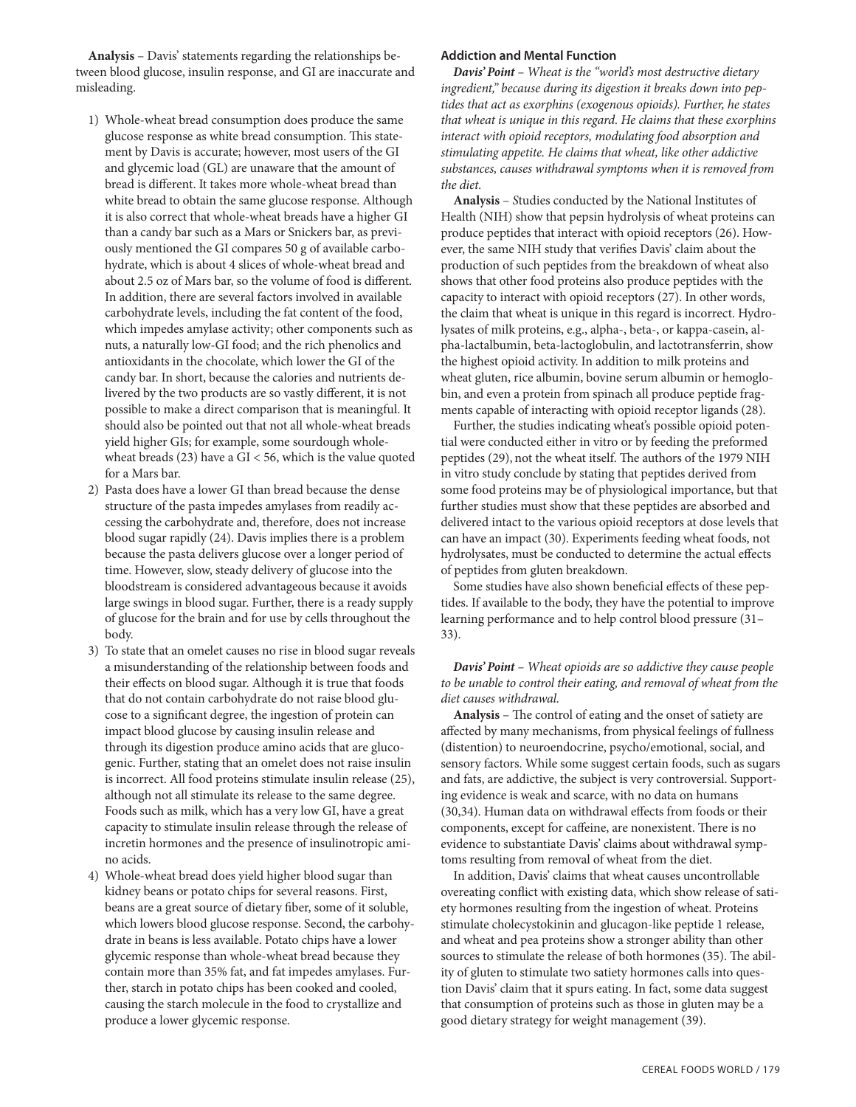**Analysis** – Davis' statements regarding the relationships between blood glucose, insulin response, and GI are inaccurate and misleading.

- 1) Whole-wheat bread consumption does produce the same glucose response as white bread consumption. This statement by Davis is accurate; however, most users of the GI and glycemic load (GL) are unaware that the amount of bread is different. It takes more whole-wheat bread than white bread to obtain the same glucose response. Although it is also correct that whole-wheat breads have a higher GI than a candy bar such as a Mars or Snickers bar, as previously mentioned the GI compares 50 g of available carbohydrate, which is about 4 slices of whole-wheat bread and about 2.5 oz of Mars bar, so the volume of food is different. In addition, there are several factors involved in available carbohydrate levels, including the fat content of the food, which impedes amylase activity; other components such as nuts, a naturally low-GI food; and the rich phenolics and antioxidants in the chocolate, which lower the GI of the candy bar. In short, because the calories and nutrients delivered by the two products are so vastly different, it is not possible to make a direct comparison that is meaningful. It should also be pointed out that not all whole-wheat breads yield higher GIs; for example, some sourdough wholewheat breads  $(23)$  have a GI < 56, which is the value quoted for a Mars bar.
- 2) Pasta does have a lower GI than bread because the dense structure of the pasta impedes amylases from readily accessing the carbohydrate and, therefore, does not increase blood sugar rapidly (24). Davis implies there is a problem because the pasta delivers glucose over a longer period of time. However, slow, steady delivery of glucose into the bloodstream is considered advantageous because it avoids large swings in blood sugar. Further, there is a ready supply of glucose for the brain and for use by cells throughout the body.
- 3) To state that an omelet causes no rise in blood sugar reveals a misunderstanding of the relationship between foods and their effects on blood sugar. Although it is true that foods that do not contain carbohydrate do not raise blood glucose to a significant degree, the ingestion of protein can impact blood glucose by causing insulin release and through its digestion produce amino acids that are glucogenic. Further, stating that an omelet does not raise insulin is incorrect. All food proteins stimulate insulin release (25), although not all stimulate its release to the same degree. Foods such as milk, which has a very low GI, have a great capacity to stimulate insulin release through the release of incretin hormones and the presence of insulinotropic amino acids.
- 4) Whole-wheat bread does yield higher blood sugar than kidney beans or potato chips for several reasons. First, beans are a great source of dietary fiber, some of it soluble, which lowers blood glucose response. Second, the carbohydrate in beans is less available. Potato chips have a lower glycemic response than whole-wheat bread because they contain more than 35% fat, and fat impedes amylases. Further, starch in potato chips has been cooked and cooled, causing the starch molecule in the food to crystallize and produce a lower glycemic response.

#### **Addiction and Mental Function**

*Davis' Point – Wheat is the "world's most destructive dietary ingredient," because during its digestion it breaks down into peptides that act as exorphins (exogenous opioids). Further, he states that wheat is unique in this regard. He claims that these exorphins interact with opioid receptors, modulating food absorption and stimulating appetite. He claims that wheat, like other addictive substances, causes withdrawal symptoms when it is removed from the diet.*

**Analysis** – *S*tudies conducted by the National Institutes of Health (NIH) show that pepsin hydrolysis of wheat proteins can produce peptides that interact with opioid receptors (26). However, the same NIH study that verifies Davis' claim about the production of such peptides from the breakdown of wheat also shows that other food proteins also produce peptides with the capacity to interact with opioid receptors (27). In other words, the claim that wheat is unique in this regard is incorrect. Hydrolysates of milk proteins, e.g., alpha-, beta-, or kappa-casein, alpha-lactalbumin, beta-lactoglobulin, and lactotransferrin, show the highest opioid activity. In addition to milk proteins and wheat gluten, rice albumin, bovine serum albumin or hemoglobin, and even a protein from spinach all produce peptide fragments capable of interacting with opioid receptor ligands (28).

Further, the studies indicating wheat's possible opioid potential were conducted either in vitro or by feeding the preformed peptides (29), not the wheat itself. The authors of the 1979 NIH in vitro study conclude by stating that peptides derived from some food proteins may be of physiological importance, but that further studies must show that these peptides are absorbed and delivered intact to the various opioid receptors at dose levels that can have an impact (30). Experiments feeding wheat foods, not hydrolysates, must be conducted to determine the actual effects of peptides from gluten breakdown.

Some studies have also shown beneficial effects of these peptides. If available to the body, they have the potential to improve learning performance and to help control blood pressure (31– 33).

*Davis' Point – Wheat opioids are so addictive they cause people to be unable to control their eating, and removal of wheat from the diet causes withdrawal.*

**Analysis** – The control of eating and the onset of satiety are affected by many mechanisms, from physical feelings of fullness (distention) to neuroendocrine, psycho/emotional, social, and sensory factors. While some suggest certain foods, such as sugars and fats, are addictive, the subject is very controversial. Supporting evidence is weak and scarce, with no data on humans (30,34). Human data on withdrawal effects from foods or their components, except for caffeine, are nonexistent. There is no evidence to substantiate Davis' claims about withdrawal symptoms resulting from removal of wheat from the diet.

In addition, Davis' claims that wheat causes uncontrollable overeating conflict with existing data, which show release of satiety hormones resulting from the ingestion of wheat. Proteins stimulate cholecystokinin and glucagon-like peptide 1 release, and wheat and pea proteins show a stronger ability than other sources to stimulate the release of both hormones (35). The ability of gluten to stimulate two satiety hormones calls into question Davis' claim that it spurs eating. In fact, some data suggest that consumption of proteins such as those in gluten may be a good dietary strategy for weight management (39).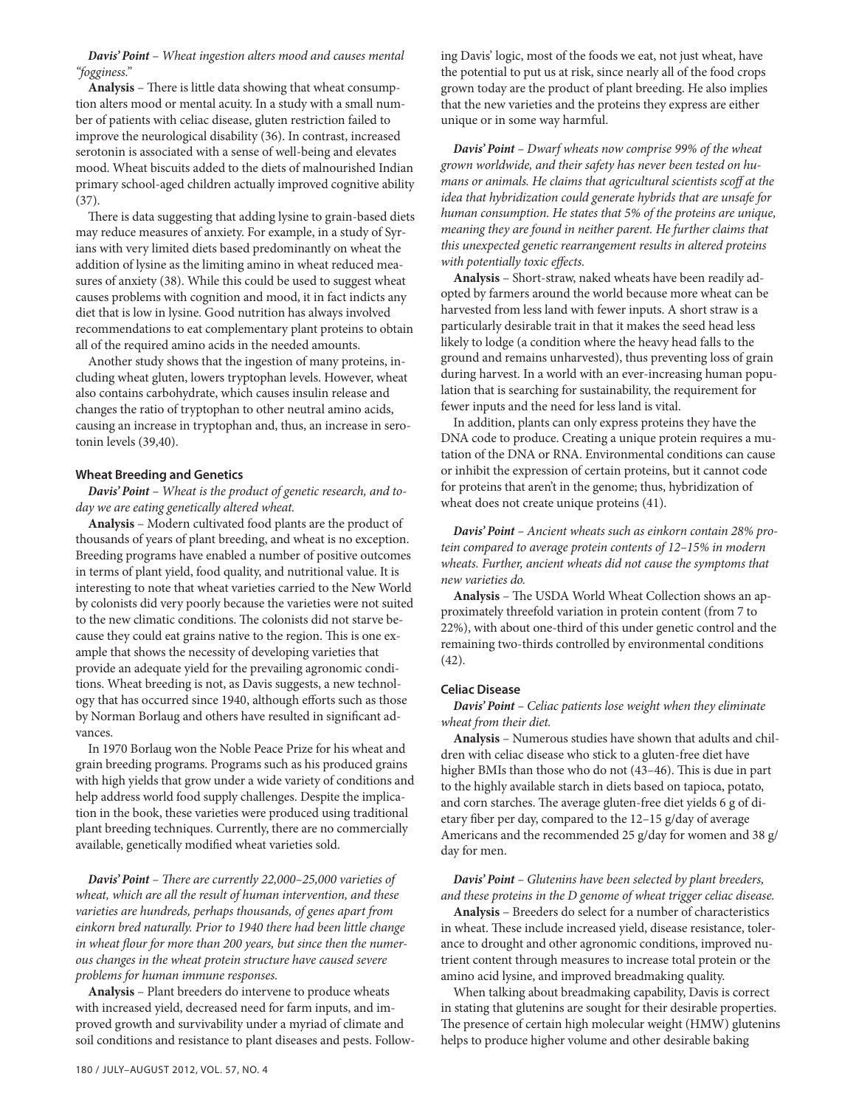*Davis' Point – Wheat ingestion alters mood and causes mental "fogginess."*

**Analysis** – There is little data showing that wheat consumption alters mood or mental acuity. In a study with a small number of patients with celiac disease, gluten restriction failed to improve the neurological disability (36). In contrast, increased serotonin is associated with a sense of well-being and elevates mood. Wheat biscuits added to the diets of malnourished Indian primary school-aged children actually improved cognitive ability (37).

There is data suggesting that adding lysine to grain-based diets may reduce measures of anxiety. For example, in a study of Syrians with very limited diets based predominantly on wheat the addition of lysine as the limiting amino in wheat reduced measures of anxiety (38). While this could be used to suggest wheat causes problems with cognition and mood, it in fact indicts any diet that is low in lysine. Good nutrition has always involved recommendations to eat complementary plant proteins to obtain all of the required amino acids in the needed amounts.

Another study shows that the ingestion of many proteins, including wheat gluten, lowers tryptophan levels. However, wheat also contains carbohydrate, which causes insulin release and changes the ratio of tryptophan to other neutral amino acids, causing an increase in tryptophan and, thus, an increase in serotonin levels (39,40).

#### **Wheat Breeding and Genetics**

*Davis' Point – Wheat is the product of genetic research, and today we are eating genetically altered wheat.*

**Analysis** – Modern cultivated food plants are the product of thousands of years of plant breeding, and wheat is no exception. Breeding programs have enabled a number of positive outcomes in terms of plant yield, food quality, and nutritional value. It is interesting to note that wheat varieties carried to the New World by colonists did very poorly because the varieties were not suited to the new climatic conditions. The colonists did not starve because they could eat grains native to the region. This is one example that shows the necessity of developing varieties that provide an adequate yield for the prevailing agronomic conditions. Wheat breeding is not, as Davis suggests, a new technology that has occurred since 1940, although efforts such as those by Norman Borlaug and others have resulted in significant advances.

In 1970 Borlaug won the Noble Peace Prize for his wheat and grain breeding programs. Programs such as his produced grains with high yields that grow under a wide variety of conditions and help address world food supply challenges. Despite the implication in the book, these varieties were produced using traditional plant breeding techniques. Currently, there are no commercially available, genetically modified wheat varieties sold.

*Davis' Point – There are currently 22,000–25,000 varieties of wheat, which are all the result of human intervention, and these varieties are hundreds, perhaps thousands, of genes apart from einkorn bred naturally. Prior to 1940 there had been little change in wheat flour for more than 200 years, but since then the numerous changes in the wheat protein structure have caused severe problems for human immune responses.*

**Analysis** – Plant breeders do intervene to produce wheats with increased yield, decreased need for farm inputs, and improved growth and survivability under a myriad of climate and soil conditions and resistance to plant diseases and pests. Following Davis' logic, most of the foods we eat, not just wheat, have the potential to put us at risk, since nearly all of the food crops grown today are the product of plant breeding. He also implies that the new varieties and the proteins they express are either unique or in some way harmful.

*Davis' Point – Dwarf wheats now comprise 99% of the wheat grown worldwide, and their safety has never been tested on humans or animals. He claims that agricultural scientists scoff at the idea that hybridization could generate hybrids that are unsafe for human consumption. He states that 5% of the proteins are unique, meaning they are found in neither parent. He further claims that this unexpected genetic rearrangement results in altered proteins with potentially toxic effects.*

**Analysis** – Short-straw, naked wheats have been readily adopted by farmers around the world because more wheat can be harvested from less land with fewer inputs. A short straw is a particularly desirable trait in that it makes the seed head less likely to lodge (a condition where the heavy head falls to the ground and remains unharvested), thus preventing loss of grain during harvest. In a world with an ever-increasing human population that is searching for sustainability, the requirement for fewer inputs and the need for less land is vital.

In addition, plants can only express proteins they have the DNA code to produce. Creating a unique protein requires a mutation of the DNA or RNA. Environmental conditions can cause or inhibit the expression of certain proteins, but it cannot code for proteins that aren't in the genome; thus, hybridization of wheat does not create unique proteins (41).

*Davis' Point – Ancient wheats such as einkorn contain 28% protein compared to average protein contents of 12–15% in modern wheats. Further, ancient wheats did not cause the symptoms that new varieties do.*

**Analysis** – The USDA World Wheat Collection shows an approximately threefold variation in protein content (from 7 to 22%), with about one-third of this under genetic control and the remaining two-thirds controlled by environmental conditions (42).

#### **Celiac Disease**

*Davis' Point – Celiac patients lose weight when they eliminate wheat from their diet.*

**Analysis** – Numerous studies have shown that adults and children with celiac disease who stick to a gluten-free diet have higher BMIs than those who do not (43–46). This is due in part to the highly available starch in diets based on tapioca, potato, and corn starches. The average gluten-free diet yields 6 g of dietary fiber per day, compared to the 12–15 g/day of average Americans and the recommended 25 g/day for women and 38 g/ day for men.

## *Davis' Point – Glutenins have been selected by plant breeders, and these proteins in the D genome of wheat trigger celiac disease.*

**Analysis** – Breeders do select for a number of characteristics in wheat. These include increased yield, disease resistance, tolerance to drought and other agronomic conditions, improved nutrient content through measures to increase total protein or the amino acid lysine, and improved breadmaking quality.

When talking about breadmaking capability, Davis is correct in stating that glutenins are sought for their desirable properties. The presence of certain high molecular weight (HMW) glutenins helps to produce higher volume and other desirable baking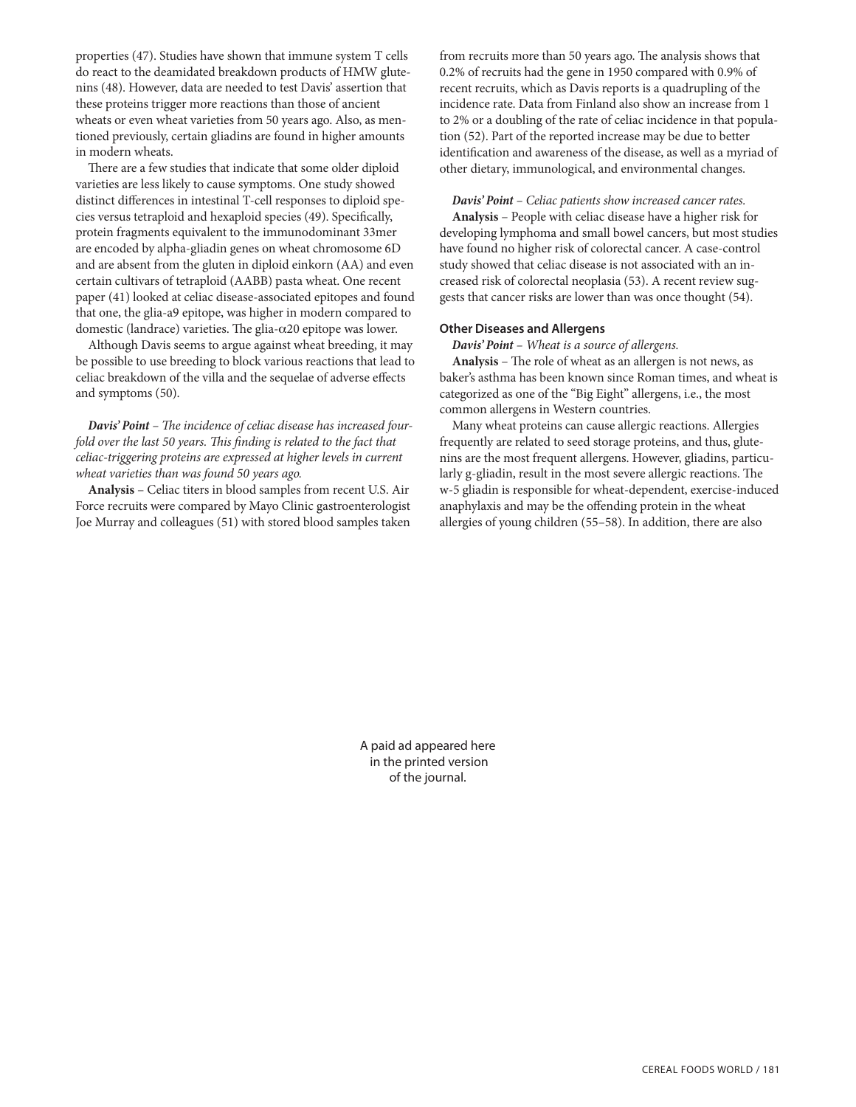properties (47). Studies have shown that immune system T cells do react to the deamidated breakdown products of HMW glutenins (48). However, data are needed to test Davis' assertion that these proteins trigger more reactions than those of ancient wheats or even wheat varieties from 50 years ago. Also, as mentioned previously, certain gliadins are found in higher amounts in modern wheats.

There are a few studies that indicate that some older diploid varieties are less likely to cause symptoms. One study showed distinct differences in intestinal T-cell responses to diploid species versus tetraploid and hexaploid species (49). Specifically, protein fragments equivalent to the immunodominant 33mer are encoded by alpha-gliadin genes on wheat chromosome 6D and are absent from the gluten in diploid einkorn (AA) and even certain cultivars of tetraploid (AABB) pasta wheat. One recent paper (41) looked at celiac disease-associated epitopes and found that one, the glia-a9 epitope, was higher in modern compared to domestic (landrace) varieties. The glia-α20 epitope was lower.

Although Davis seems to argue against wheat breeding, it may be possible to use breeding to block various reactions that lead to celiac breakdown of the villa and the sequelae of adverse effects and symptoms (50).

*Davis' Point – The incidence of celiac disease has increased fourfold over the last 50 years. This finding is related to the fact that celiac-triggering proteins are expressed at higher levels in current wheat varieties than was found 50 years ago.*

**Analysis** – Celiac titers in blood samples from recent U.S. Air Force recruits were compared by Mayo Clinic gastroenterologist Joe Murray and colleagues (51) with stored blood samples taken from recruits more than 50 years ago. The analysis shows that 0.2% of recruits had the gene in 1950 compared with 0.9% of recent recruits, which as Davis reports is a quadrupling of the incidence rate. Data from Finland also show an increase from 1 to 2% or a doubling of the rate of celiac incidence in that population (52). Part of the reported increase may be due to better identification and awareness of the disease, as well as a myriad of other dietary, immunological, and environmental changes.

*Davis' Point – Celiac patients show increased cancer rates.*

**Analysis** – People with celiac disease have a higher risk for developing lymphoma and small bowel cancers, but most studies have found no higher risk of colorectal cancer. A case-control study showed that celiac disease is not associated with an increased risk of colorectal neoplasia (53). A recent review suggests that cancer risks are lower than was once thought (54).

#### **Other Diseases and Allergens**

*Davis' Point – Wheat is a source of allergens.*

**Analysis** – The role of wheat as an allergen is not news, as baker's asthma has been known since Roman times, and wheat is categorized as one of the "Big Eight" allergens, i.e., the most common allergens in Western countries.

Many wheat proteins can cause allergic reactions. Allergies frequently are related to seed storage proteins, and thus, glutenins are the most frequent allergens. However, gliadins, particularly g-gliadin, result in the most severe allergic reactions. The w-5 gliadin is responsible for wheat-dependent, exercise-induced anaphylaxis and may be the offending protein in the wheat allergies of young children (55–58). In addition, there are also

A paid ad appeared here in the printed version of the journal.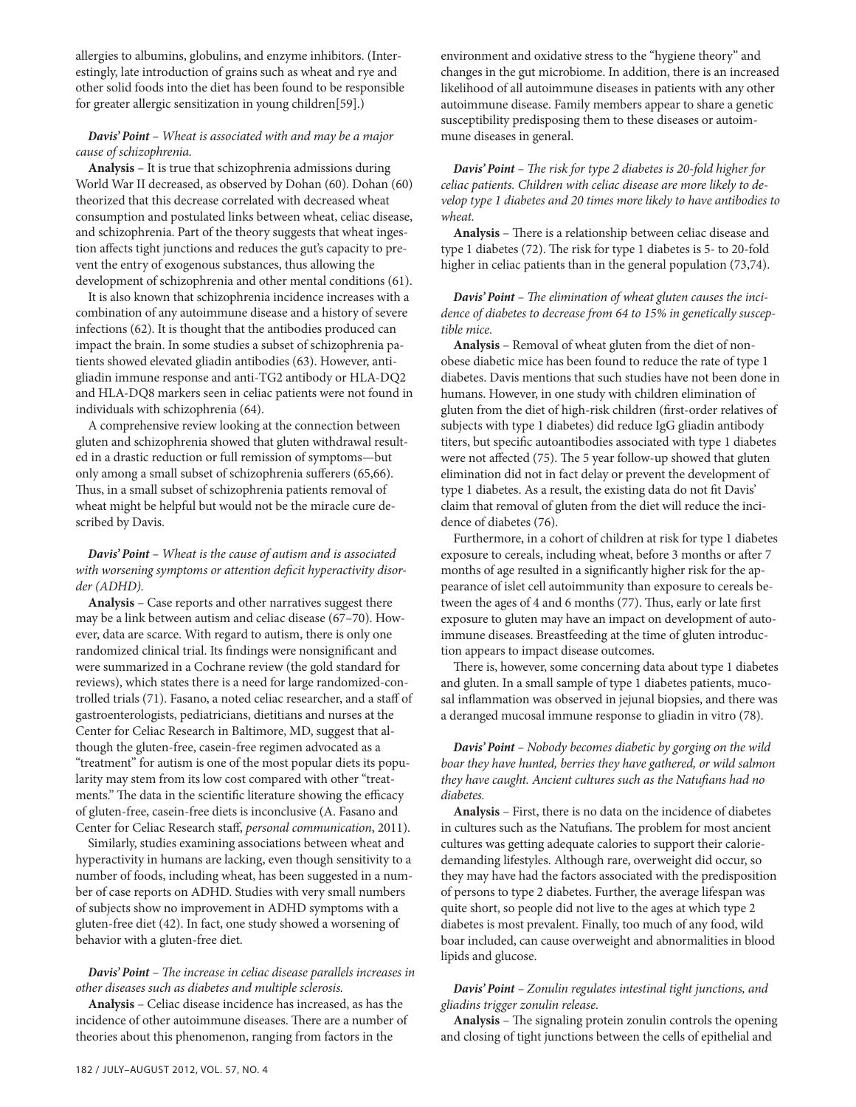allergies to albumins, globulins, and enzyme inhibitors. (Interestingly, late introduction of grains such as wheat and rye and other solid foods into the diet has been found to be responsible for greater allergic sensitization in young children[59].)

# *Davis' Point – Wheat is associated with and may be a major cause of schizophrenia.*

**Analysis** – It is true that schizophrenia admissions during World War II decreased, as observed by Dohan (60). Dohan (60) theorized that this decrease correlated with decreased wheat consumption and postulated links between wheat, celiac disease, and schizophrenia. Part of the theory suggests that wheat ingestion affects tight junctions and reduces the gut's capacity to prevent the entry of exogenous substances, thus allowing the development of schizophrenia and other mental conditions (61).

It is also known that schizophrenia incidence increases with a combination of any autoimmune disease and a history of severe infections (62). It is thought that the antibodies produced can impact the brain. In some studies a subset of schizophrenia patients showed elevated gliadin antibodies (63). However, antigliadin immune response and anti-TG2 antibody or HLA-DQ2 and HLA-DQ8 markers seen in celiac patients were not found in individuals with schizophrenia (64).

A comprehensive review looking at the connection between gluten and schizophrenia showed that gluten withdrawal resulted in a drastic reduction or full remission of symptoms—but only among a small subset of schizophrenia sufferers (65,66). Thus, in a small subset of schizophrenia patients removal of wheat might be helpful but would not be the miracle cure described by Davis.

*Davis' Point – Wheat is the cause of autism and is associated with worsening symptoms or attention deficit hyperactivity disorder (ADHD).*

**Analysis** – Case reports and other narratives suggest there may be a link between autism and celiac disease (67–70). However, data are scarce. With regard to autism, there is only one randomized clinical trial. Its findings were nonsignificant and were summarized in a Cochrane review (the gold standard for reviews), which states there is a need for large randomized-controlled trials (71). Fasano, a noted celiac researcher, and a staff of gastroenterologists, pediatricians, dietitians and nurses at the Center for Celiac Research in Baltimore, MD, suggest that although the gluten-free, casein-free regimen advocated as a "treatment" for autism is one of the most popular diets its popularity may stem from its low cost compared with other "treatments." The data in the scientific literature showing the efficacy of gluten-free, casein-free diets is inconclusive (A. Fasano and Center for Celiac Research staff, *personal communication*, 2011).

Similarly, studies examining associations between wheat and hyperactivity in humans are lacking, even though sensitivity to a number of foods, including wheat, has been suggested in a number of case reports on ADHD. Studies with very small numbers of subjects show no improvement in ADHD symptoms with a gluten-free diet (42). In fact, one study showed a worsening of behavior with a gluten-free diet.

## *Davis' Point – The increase in celiac disease parallels increases in other diseases such as diabetes and multiple sclerosis.*

**Analysis** – Celiac disease incidence has increased, as has the incidence of other autoimmune diseases. There are a number of theories about this phenomenon, ranging from factors in the

environment and oxidative stress to the "hygiene theory" and changes in the gut microbiome. In addition, there is an increased likelihood of all autoimmune diseases in patients with any other autoimmune disease. Family members appear to share a genetic susceptibility predisposing them to these diseases or autoimmune diseases in general.

*Davis' Point – The risk for type 2 diabetes is 20-fold higher for celiac patients. Children with celiac disease are more likely to develop type 1 diabetes and 20 times more likely to have antibodies to wheat.*

**Analysis** – There is a relationship between celiac disease and type 1 diabetes (72). The risk for type 1 diabetes is 5- to 20-fold higher in celiac patients than in the general population (73,74).

*Davis' Point – The elimination of wheat gluten causes the incidence of diabetes to decrease from 64 to 15% in genetically susceptible mice.*

**Analysis** – Removal of wheat gluten from the diet of nonobese diabetic mice has been found to reduce the rate of type 1 diabetes. Davis mentions that such studies have not been done in humans. However, in one study with children elimination of gluten from the diet of high-risk children (first-order relatives of subjects with type 1 diabetes) did reduce IgG gliadin antibody titers, but specific autoantibodies associated with type 1 diabetes were not affected (75). The 5 year follow-up showed that gluten elimination did not in fact delay or prevent the development of type 1 diabetes. As a result, the existing data do not fit Davis' claim that removal of gluten from the diet will reduce the incidence of diabetes (76).

Furthermore, in a cohort of children at risk for type 1 diabetes exposure to cereals, including wheat, before 3 months or after 7 months of age resulted in a significantly higher risk for the appearance of islet cell autoimmunity than exposure to cereals between the ages of 4 and 6 months (77). Thus, early or late first exposure to gluten may have an impact on development of autoimmune diseases. Breastfeeding at the time of gluten introduction appears to impact disease outcomes.

There is, however, some concerning data about type 1 diabetes and gluten. In a small sample of type 1 diabetes patients, mucosal inflammation was observed in jejunal biopsies, and there was a deranged mucosal immune response to gliadin in vitro (78).

# *Davis' Point – Nobody becomes diabetic by gorging on the wild boar they have hunted, berries they have gathered, or wild salmon they have caught. Ancient cultures such as the Natufians had no diabetes.*

**Analysis** – First, there is no data on the incidence of diabetes in cultures such as the Natufians. The problem for most ancient cultures was getting adequate calories to support their caloriedemanding lifestyles. Although rare, overweight did occur, so they may have had the factors associated with the predisposition of persons to type 2 diabetes. Further, the average lifespan was quite short, so people did not live to the ages at which type 2 diabetes is most prevalent. Finally, too much of any food, wild boar included, can cause overweight and abnormalities in blood lipids and glucose.

# *Davis' Point – Zonulin regulates intestinal tight junctions, and gliadins trigger zonulin release.*

**Analysis** – The signaling protein zonulin controls the opening and closing of tight junctions between the cells of epithelial and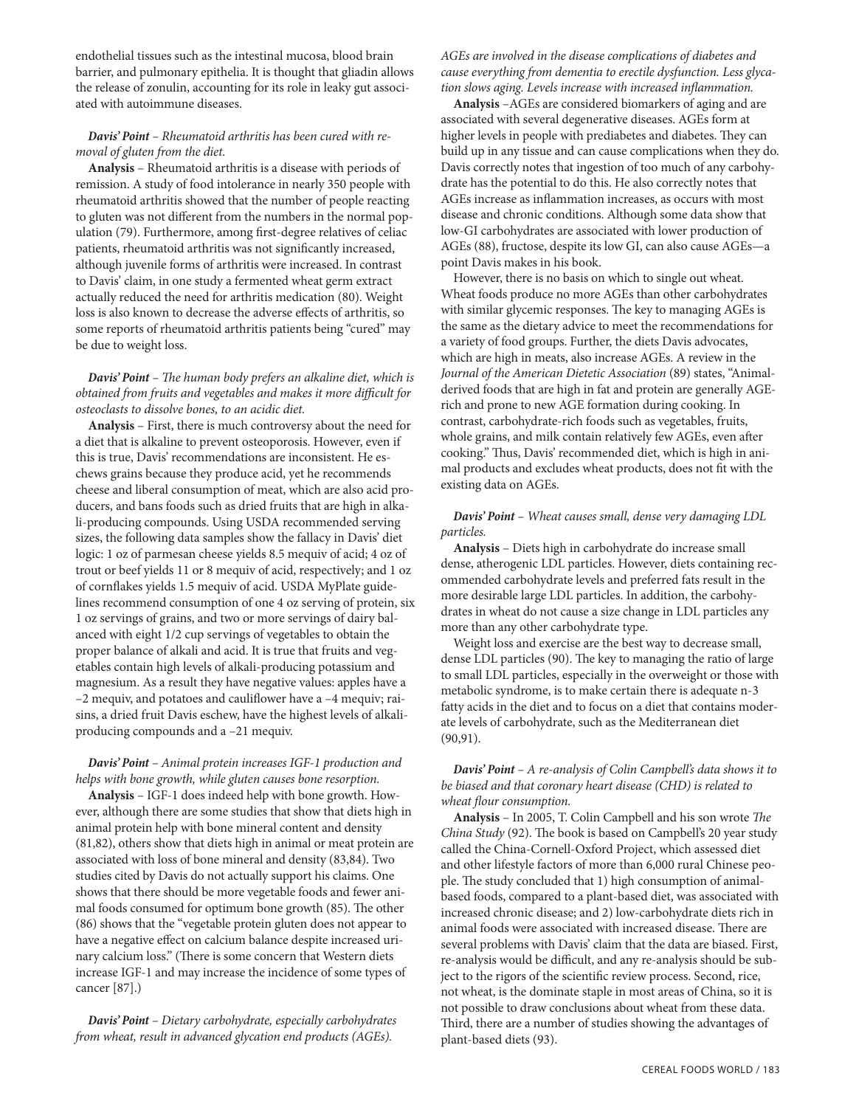endothelial tissues such as the intestinal mucosa, blood brain barrier, and pulmonary epithelia. It is thought that gliadin allows the release of zonulin, accounting for its role in leaky gut associated with autoimmune diseases.

# *Davis' Point – Rheumatoid arthritis has been cured with removal of gluten from the diet.*

**Analysis** – Rheumatoid arthritis is a disease with periods of remission. A study of food intolerance in nearly 350 people with rheumatoid arthritis showed that the number of people reacting to gluten was not different from the numbers in the normal population (79). Furthermore, among first-degree relatives of celiac patients, rheumatoid arthritis was not significantly increased, although juvenile forms of arthritis were increased. In contrast to Davis' claim, in one study a fermented wheat germ extract actually reduced the need for arthritis medication (80). Weight loss is also known to decrease the adverse effects of arthritis, so some reports of rheumatoid arthritis patients being "cured" may be due to weight loss.

# *Davis' Point – The human body prefers an alkaline diet, which is obtained from fruits and vegetables and makes it more difficult for osteoclasts to dissolve bones, to an acidic diet.*

**Analysis** – First, there is much controversy about the need for a diet that is alkaline to prevent osteoporosis. However, even if this is true, Davis' recommendations are inconsistent. He eschews grains because they produce acid, yet he recommends cheese and liberal consumption of meat, which are also acid producers, and bans foods such as dried fruits that are high in alkali-producing compounds. Using USDA recommended serving sizes, the following data samples show the fallacy in Davis' diet logic: 1 oz of parmesan cheese yields 8.5 mequiv of acid; 4 oz of trout or beef yields 11 or 8 mequiv of acid, respectively; and 1 oz of cornflakes yields 1.5 mequiv of acid. USDA MyPlate guidelines recommend consumption of one 4 oz serving of protein, six 1 oz servings of grains, and two or more servings of dairy balanced with eight 1/2 cup servings of vegetables to obtain the proper balance of alkali and acid. It is true that fruits and vegetables contain high levels of alkali-producing potassium and magnesium. As a result they have negative values: apples have a –2 mequiv, and potatoes and cauliflower have a –4 mequiv; raisins, a dried fruit Davis eschew, have the highest levels of alkaliproducing compounds and a –21 mequiv.

# *Davis' Point – Animal protein increases IGF-1 production and helps with bone growth, while gluten causes bone resorption.*

**Analysis** – IGF-1 does indeed help with bone growth. However, although there are some studies that show that diets high in animal protein help with bone mineral content and density (81,82), others show that diets high in animal or meat protein are associated with loss of bone mineral and density (83,84). Two studies cited by Davis do not actually support his claims. One shows that there should be more vegetable foods and fewer animal foods consumed for optimum bone growth (85). The other (86) shows that the "vegetable protein gluten does not appear to have a negative effect on calcium balance despite increased urinary calcium loss." (There is some concern that Western diets increase IGF-1 and may increase the incidence of some types of cancer [87].)

*Davis' Point – Dietary carbohydrate, especially carbohydrates from wheat, result in advanced glycation end products (AGEs).* 

*AGEs are involved in the disease complications of diabetes and cause everything from dementia to erectile dysfunction. Less glycation slows aging. Levels increase with increased inflammation.*

**Analysis** –AGEs are considered biomarkers of aging and are associated with several degenerative diseases. AGEs form at higher levels in people with prediabetes and diabetes. They can build up in any tissue and can cause complications when they do. Davis correctly notes that ingestion of too much of any carbohydrate has the potential to do this. He also correctly notes that AGEs increase as inflammation increases, as occurs with most disease and chronic conditions. Although some data show that low-GI carbohydrates are associated with lower production of AGEs (88), fructose, despite its low GI, can also cause AGEs—a point Davis makes in his book.

However, there is no basis on which to single out wheat. Wheat foods produce no more AGEs than other carbohydrates with similar glycemic responses. The key to managing AGEs is the same as the dietary advice to meet the recommendations for a variety of food groups. Further, the diets Davis advocates, which are high in meats, also increase AGEs. A review in the *Journal of the American Dietetic Association* (89) states, "Animalderived foods that are high in fat and protein are generally AGErich and prone to new AGE formation during cooking. In contrast, carbohydrate-rich foods such as vegetables, fruits, whole grains, and milk contain relatively few AGEs, even after cooking." Thus, Davis' recommended diet, which is high in animal products and excludes wheat products, does not fit with the existing data on AGEs.

# *Davis' Point – Wheat causes small, dense very damaging LDL particles.*

**Analysis** – Diets high in carbohydrate do increase small dense, atherogenic LDL particles. However, diets containing recommended carbohydrate levels and preferred fats result in the more desirable large LDL particles. In addition, the carbohydrates in wheat do not cause a size change in LDL particles any more than any other carbohydrate type.

Weight loss and exercise are the best way to decrease small, dense LDL particles (90). The key to managing the ratio of large to small LDL particles, especially in the overweight or those with metabolic syndrome, is to make certain there is adequate n-3 fatty acids in the diet and to focus on a diet that contains moderate levels of carbohydrate, such as the Mediterranean diet (90,91).

# *Davis' Point – A re-analysis of Colin Campbell's data shows it to be biased and that coronary heart disease (CHD) is related to wheat flour consumption.*

**Analysis** – In 2005, T. Colin Campbell and his son wrote *The China Study* (92). The book is based on Campbell's 20 year study called the China-Cornell-Oxford Project, which assessed diet and other lifestyle factors of more than 6,000 rural Chinese people. The study concluded that 1) high consumption of animalbased foods, compared to a plant-based diet, was associated with increased chronic disease; and 2) low-carbohydrate diets rich in animal foods were associated with increased disease. There are several problems with Davis' claim that the data are biased. First, re-analysis would be difficult, and any re-analysis should be subject to the rigors of the scientific review process. Second, rice, not wheat, is the dominate staple in most areas of China, so it is not possible to draw conclusions about wheat from these data. Third, there are a number of studies showing the advantages of plant-based diets (93).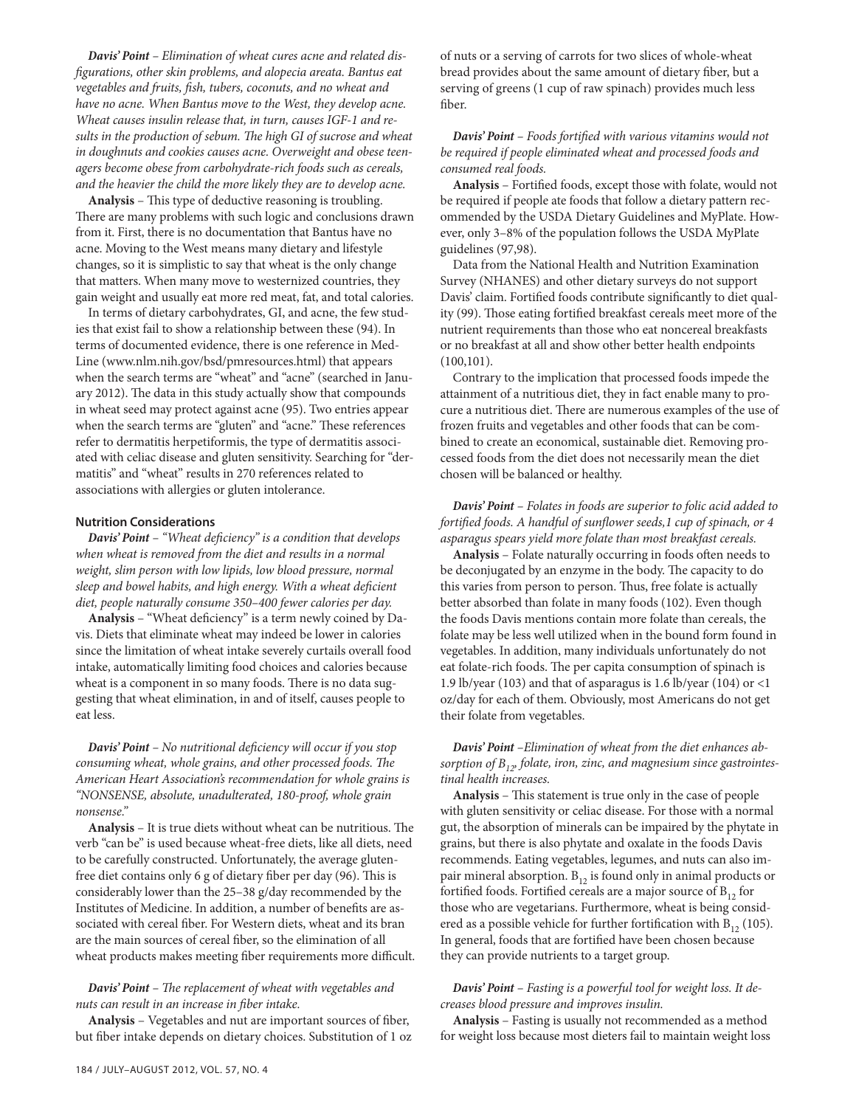*Davis' Point – Elimination of wheat cures acne and related disfigurations, other skin problems, and alopecia areata. Bantus eat vegetables and fruits, fish, tubers, coconuts, and no wheat and have no acne. When Bantus move to the West, they develop acne. Wheat causes insulin release that, in turn, causes IGF-1 and results in the production of sebum. The high GI of sucrose and wheat in doughnuts and cookies causes acne. Overweight and obese teenagers become obese from carbohydrate-rich foods such as cereals, and the heavier the child the more likely they are to develop acne.*

**Analysis** – This type of deductive reasoning is troubling. There are many problems with such logic and conclusions drawn from it. First, there is no documentation that Bantus have no acne. Moving to the West means many dietary and lifestyle changes, so it is simplistic to say that wheat is the only change that matters. When many move to westernized countries, they gain weight and usually eat more red meat, fat, and total calories.

In terms of dietary carbohydrates, GI, and acne, the few studies that exist fail to show a relationship between these (94). In terms of documented evidence, there is one reference in Med-Line (www.nlm.nih.gov/bsd/pmresources.html) that appears when the search terms are "wheat" and "acne" (searched in January 2012). The data in this study actually show that compounds in wheat seed may protect against acne (95). Two entries appear when the search terms are "gluten" and "acne." These references refer to dermatitis herpetiformis, the type of dermatitis associated with celiac disease and gluten sensitivity. Searching for "dermatitis" and "wheat" results in 270 references related to associations with allergies or gluten intolerance.

## **Nutrition Considerations**

*Davis' Point – "Wheat deficiency" is a condition that develops when wheat is removed from the diet and results in a normal weight, slim person with low lipids, low blood pressure, normal sleep and bowel habits, and high energy. With a wheat deficient diet, people naturally consume 350–400 fewer calories per day.*

**Analysis** – "Wheat deficiency" is a term newly coined by Davis. Diets that eliminate wheat may indeed be lower in calories since the limitation of wheat intake severely curtails overall food intake, automatically limiting food choices and calories because wheat is a component in so many foods. There is no data suggesting that wheat elimination, in and of itself, causes people to eat less.

*Davis' Point – No nutritional deficiency will occur if you stop consuming wheat, whole grains, and other processed foods. The American Heart Association's recommendation for whole grains is "NONSENSE, absolute, unadulterated, 180-proof, whole grain nonsense."*

**Analysis** – It is true diets without wheat can be nutritious. The verb "can be" is used because wheat-free diets, like all diets, need to be carefully constructed. Unfortunately, the average glutenfree diet contains only 6 g of dietary fiber per day (96). This is considerably lower than the 25–38 g/day recommended by the Institutes of Medicine. In addition, a number of benefits are associated with cereal fiber. For Western diets, wheat and its bran are the main sources of cereal fiber, so the elimination of all wheat products makes meeting fiber requirements more difficult.

## *Davis' Point – The replacement of wheat with vegetables and nuts can result in an increase in fiber intake.*

**Analysis** – Vegetables and nut are important sources of fiber, but fiber intake depends on dietary choices. Substitution of 1 oz of nuts or a serving of carrots for two slices of whole-wheat bread provides about the same amount of dietary fiber, but a serving of greens (1 cup of raw spinach) provides much less fiber.

*Davis' Point – Foods fortified with various vitamins would not be required if people eliminated wheat and processed foods and consumed real foods.*

**Analysis** – Fortified foods, except those with folate, would not be required if people ate foods that follow a dietary pattern recommended by the USDA Dietary Guidelines and MyPlate. However, only 3–8% of the population follows the USDA MyPlate guidelines (97,98).

Data from the National Health and Nutrition Examination Survey (NHANES) and other dietary surveys do not support Davis' claim. Fortified foods contribute significantly to diet quality (99). Those eating fortified breakfast cereals meet more of the nutrient requirements than those who eat noncereal breakfasts or no breakfast at all and show other better health endpoints (100,101).

Contrary to the implication that processed foods impede the attainment of a nutritious diet, they in fact enable many to procure a nutritious diet. There are numerous examples of the use of frozen fruits and vegetables and other foods that can be combined to create an economical, sustainable diet. Removing processed foods from the diet does not necessarily mean the diet chosen will be balanced or healthy.

# *Davis' Point – Folates in foods are superior to folic acid added to fortified foods. A handful of sunflower seeds,1 cup of spinach, or 4 asparagus spears yield more folate than most breakfast cereals.*

**Analysis** – Folate naturally occurring in foods often needs to be deconjugated by an enzyme in the body. The capacity to do this varies from person to person. Thus, free folate is actually better absorbed than folate in many foods (102). Even though the foods Davis mentions contain more folate than cereals, the folate may be less well utilized when in the bound form found in vegetables. In addition, many individuals unfortunately do not eat folate-rich foods. The per capita consumption of spinach is 1.9 lb/year (103) and that of asparagus is 1.6 lb/year (104) or <1 oz/day for each of them. Obviously, most Americans do not get their folate from vegetables.

# *Davis' Point –Elimination of wheat from the diet enhances ab*sorption of B<sub>12</sub>, folate, iron, zinc, and magnesium since gastrointes*tinal health increases.*

**Analysis** – This statement is true only in the case of people with gluten sensitivity or celiac disease. For those with a normal gut, the absorption of minerals can be impaired by the phytate in grains, but there is also phytate and oxalate in the foods Davis recommends. Eating vegetables, legumes, and nuts can also impair mineral absorption.  $B_{12}$  is found only in animal products or fortified foods. Fortified cereals are a major source of  $B_{12}$  for those who are vegetarians. Furthermore, wheat is being considered as a possible vehicle for further fortification with  $B_{12}$  (105). In general, foods that are fortified have been chosen because they can provide nutrients to a target group.

## *Davis' Point – Fasting is a powerful tool for weight loss. It decreases blood pressure and improves insulin.*

**Analysis** – Fasting is usually not recommended as a method for weight loss because most dieters fail to maintain weight loss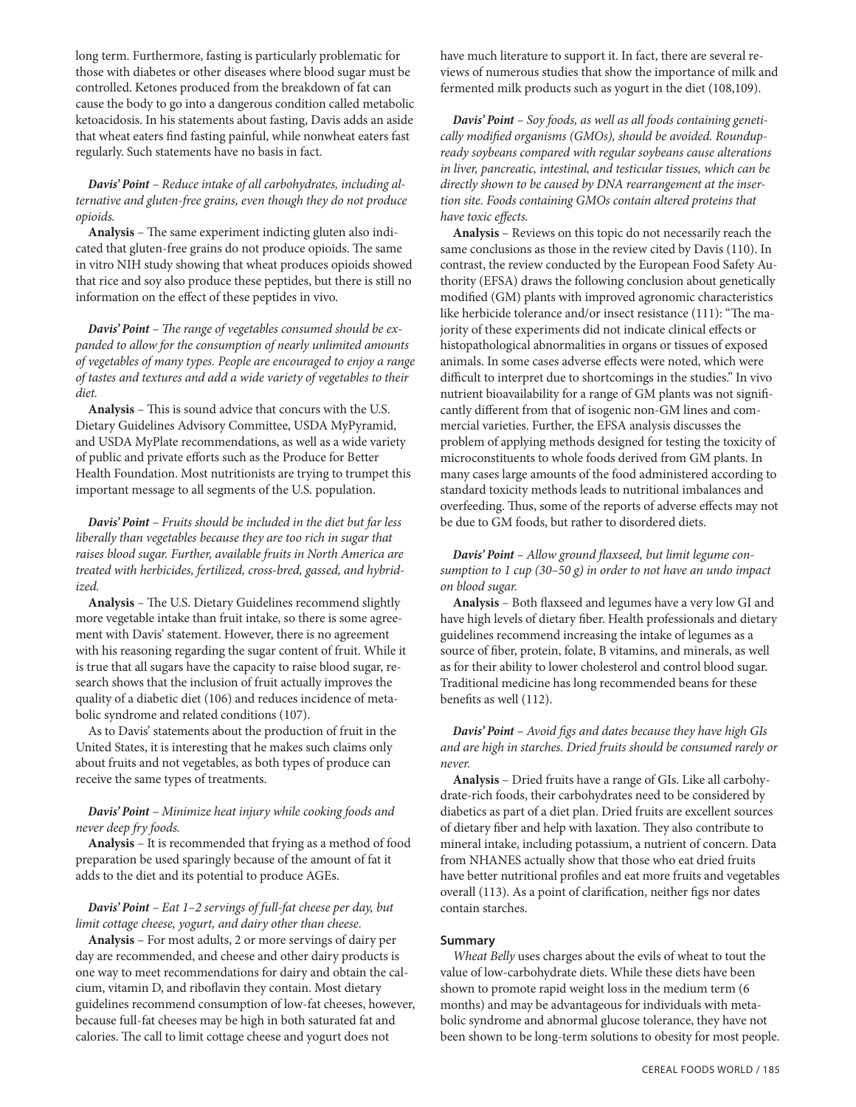long term. Furthermore, fasting is particularly problematic for those with diabetes or other diseases where blood sugar must be controlled. Ketones produced from the breakdown of fat can cause the body to go into a dangerous condition called metabolic ketoacidosis. In his statements about fasting, Davis adds an aside that wheat eaters find fasting painful, while nonwheat eaters fast regularly. Such statements have no basis in fact.

# *Davis' Point – Reduce intake of all carbohydrates, including alternative and gluten-free grains, even though they do not produce opioids.*

**Analysis** – The same experiment indicting gluten also indicated that gluten-free grains do not produce opioids. The same in vitro NIH study showing that wheat produces opioids showed that rice and soy also produce these peptides, but there is still no information on the effect of these peptides in vivo.

*Davis' Point – The range of vegetables consumed should be expanded to allow for the consumption of nearly unlimited amounts of vegetables of many types. People are encouraged to enjoy a range of tastes and textures and add a wide variety of vegetables to their diet.*

**Analysis** – This is sound advice that concurs with the U.S. Dietary Guidelines Advisory Committee, USDA MyPyramid, and USDA MyPlate recommendations, as well as a wide variety of public and private efforts such as the Produce for Better Health Foundation. Most nutritionists are trying to trumpet this important message to all segments of the U.S. population.

*Davis' Point – Fruits should be included in the diet but far less liberally than vegetables because they are too rich in sugar that raises blood sugar. Further, available fruits in North America are treated with herbicides, fertilized, cross-bred, gassed, and hybridized.*

**Analysis** – The U.S. Dietary Guidelines recommend slightly more vegetable intake than fruit intake, so there is some agreement with Davis' statement. However, there is no agreement with his reasoning regarding the sugar content of fruit. While it is true that all sugars have the capacity to raise blood sugar, research shows that the inclusion of fruit actually improves the quality of a diabetic diet (106) and reduces incidence of metabolic syndrome and related conditions (107).

As to Davis' statements about the production of fruit in the United States, it is interesting that he makes such claims only about fruits and not vegetables, as both types of produce can receive the same types of treatments.

# *Davis' Point – Minimize heat injury while cooking foods and never deep fry foods.*

**Analysis** – It is recommended that frying as a method of food preparation be used sparingly because of the amount of fat it adds to the diet and its potential to produce AGEs.

# *Davis' Point – Eat 1–2 servings of full-fat cheese per day, but limit cottage cheese, yogurt, and dairy other than cheese.*

**Analysis** – For most adults, 2 or more servings of dairy per day are recommended, and cheese and other dairy products is one way to meet recommendations for dairy and obtain the calcium, vitamin D, and riboflavin they contain. Most dietary guidelines recommend consumption of low-fat cheeses, however, because full-fat cheeses may be high in both saturated fat and calories. The call to limit cottage cheese and yogurt does not

have much literature to support it. In fact, there are several reviews of numerous studies that show the importance of milk and fermented milk products such as yogurt in the diet (108,109).

*Davis' Point – Soy foods, as well as all foods containing genetically modified organisms (GMOs), should be avoided. Roundupready soybeans compared with regular soybeans cause alterations in liver, pancreatic, intestinal, and testicular tissues, which can be directly shown to be caused by DNA rearrangement at the insertion site. Foods containing GMOs contain altered proteins that have toxic effects.*

**Analysis** – Reviews on this topic do not necessarily reach the same conclusions as those in the review cited by Davis (110). In contrast, the review conducted by the European Food Safety Authority (EFSA) draws the following conclusion about genetically modified (GM) plants with improved agronomic characteristics like herbicide tolerance and/or insect resistance (111): "The majority of these experiments did not indicate clinical effects or histopathological abnormalities in organs or tissues of exposed animals. In some cases adverse effects were noted, which were difficult to interpret due to shortcomings in the studies." In vivo nutrient bioavailability for a range of GM plants was not significantly different from that of isogenic non-GM lines and commercial varieties. Further, the EFSA analysis discusses the problem of applying methods designed for testing the toxicity of microconstituents to whole foods derived from GM plants. In many cases large amounts of the food administered according to standard toxicity methods leads to nutritional imbalances and overfeeding. Thus, some of the reports of adverse effects may not be due to GM foods, but rather to disordered diets.

# *Davis' Point – Allow ground flaxseed, but limit legume consumption to 1 cup (30–50 g) in order to not have an undo impact on blood sugar.*

**Analysis** – Both flaxseed and legumes have a very low GI and have high levels of dietary fiber. Health professionals and dietary guidelines recommend increasing the intake of legumes as a source of fiber, protein, folate, B vitamins, and minerals, as well as for their ability to lower cholesterol and control blood sugar. Traditional medicine has long recommended beans for these benefits as well (112).

*Davis' Point – Avoid figs and dates because they have high GIs and are high in starches. Dried fruits should be consumed rarely or never.*

**Analysis** – Dried fruits have a range of GIs. Like all carbohydrate-rich foods, their carbohydrates need to be considered by diabetics as part of a diet plan. Dried fruits are excellent sources of dietary fiber and help with laxation. They also contribute to mineral intake, including potassium, a nutrient of concern. Data from NHANES actually show that those who eat dried fruits have better nutritional profiles and eat more fruits and vegetables overall (113). As a point of clarification, neither figs nor dates contain starches.

# **Summary**

*Wheat Belly* uses charges about the evils of wheat to tout the value of low-carbohydrate diets. While these diets have been shown to promote rapid weight loss in the medium term (6 months) and may be advantageous for individuals with metabolic syndrome and abnormal glucose tolerance, they have not been shown to be long-term solutions to obesity for most people.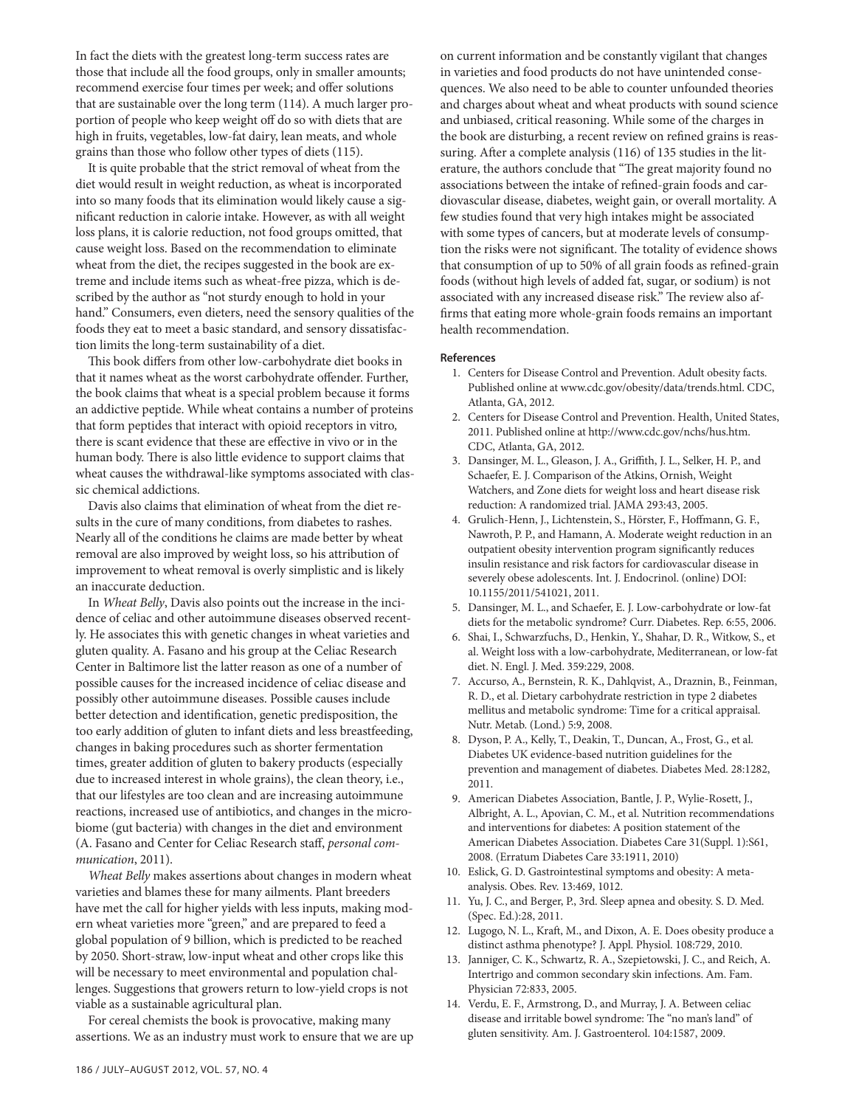In fact the diets with the greatest long-term success rates are those that include all the food groups, only in smaller amounts; recommend exercise four times per week; and offer solutions that are sustainable over the long term (114). A much larger proportion of people who keep weight off do so with diets that are high in fruits, vegetables, low-fat dairy, lean meats, and whole grains than those who follow other types of diets (115).

It is quite probable that the strict removal of wheat from the diet would result in weight reduction, as wheat is incorporated into so many foods that its elimination would likely cause a significant reduction in calorie intake. However, as with all weight loss plans, it is calorie reduction, not food groups omitted, that cause weight loss. Based on the recommendation to eliminate wheat from the diet, the recipes suggested in the book are extreme and include items such as wheat-free pizza, which is described by the author as "not sturdy enough to hold in your hand." Consumers, even dieters, need the sensory qualities of the foods they eat to meet a basic standard, and sensory dissatisfaction limits the long-term sustainability of a diet.

This book differs from other low-carbohydrate diet books in that it names wheat as the worst carbohydrate offender. Further, the book claims that wheat is a special problem because it forms an addictive peptide. While wheat contains a number of proteins that form peptides that interact with opioid receptors in vitro*,*  there is scant evidence that these are effective in vivo or in the human body. There is also little evidence to support claims that wheat causes the withdrawal-like symptoms associated with classic chemical addictions.

Davis also claims that elimination of wheat from the diet results in the cure of many conditions, from diabetes to rashes. Nearly all of the conditions he claims are made better by wheat removal are also improved by weight loss, so his attribution of improvement to wheat removal is overly simplistic and is likely an inaccurate deduction.

In *Wheat Belly*, Davis also points out the increase in the incidence of celiac and other autoimmune diseases observed recently. He associates this with genetic changes in wheat varieties and gluten quality. A. Fasano and his group at the Celiac Research Center in Baltimore list the latter reason as one of a number of possible causes for the increased incidence of celiac disease and possibly other autoimmune diseases. Possible causes include better detection and identification, genetic predisposition, the too early addition of gluten to infant diets and less breastfeeding, changes in baking procedures such as shorter fermentation times, greater addition of gluten to bakery products (especially due to increased interest in whole grains), the clean theory, i.e., that our lifestyles are too clean and are increasing autoimmune reactions, increased use of antibiotics, and changes in the microbiome (gut bacteria) with changes in the diet and environment (A. Fasano and Center for Celiac Research staff, *personal communication*, 2011).

*Wheat Belly* makes assertions about changes in modern wheat varieties and blames these for many ailments. Plant breeders have met the call for higher yields with less inputs, making modern wheat varieties more "green," and are prepared to feed a global population of 9 billion, which is predicted to be reached by 2050. Short-straw, low-input wheat and other crops like this will be necessary to meet environmental and population challenges. Suggestions that growers return to low-yield crops is not viable as a sustainable agricultural plan.

For cereal chemists the book is provocative, making many assertions. We as an industry must work to ensure that we are up on current information and be constantly vigilant that changes in varieties and food products do not have unintended consequences. We also need to be able to counter unfounded theories and charges about wheat and wheat products with sound science and unbiased, critical reasoning. While some of the charges in the book are disturbing, a recent review on refined grains is reassuring. After a complete analysis (116) of 135 studies in the literature, the authors conclude that "The great majority found no associations between the intake of refined-grain foods and cardiovascular disease, diabetes, weight gain, or overall mortality. A few studies found that very high intakes might be associated with some types of cancers, but at moderate levels of consumption the risks were not significant. The totality of evidence shows that consumption of up to 50% of all grain foods as refined-grain foods (without high levels of added fat, sugar, or sodium) is not associated with any increased disease risk." The review also affirms that eating more whole-grain foods remains an important health recommendation.

#### **References**

- 1. Centers for Disease Control and Prevention. Adult obesity facts. Published online at www.cdc.gov/obesity/data/trends.html. CDC, Atlanta, GA, 2012.
- 2. Centers for Disease Control and Prevention. Health, United States, 2011. Published online at http://www.cdc.gov/nchs/hus.htm. CDC, Atlanta, GA, 2012.
- 3. Dansinger, M. L., Gleason, J. A., Griffith, J. L., Selker, H. P., and Schaefer, E. J. Comparison of the Atkins, Ornish, Weight Watchers, and Zone diets for weight loss and heart disease risk reduction: A randomized trial. JAMA 293:43, 2005.
- 4. Grulich-Henn, J., Lichtenstein, S., Hörster, F., Hoffmann, G. F., Nawroth, P. P., and Hamann, A. Moderate weight reduction in an outpatient obesity intervention program significantly reduces insulin resistance and risk factors for cardiovascular disease in severely obese adolescents. Int. J. Endocrinol. (online) DOI: 10.1155/2011/541021, 2011.
- 5. Dansinger, M. L., and Schaefer, E. J. Low-carbohydrate or low-fat diets for the metabolic syndrome? Curr. Diabetes. Rep. 6:55, 2006.
- 6. Shai, I., Schwarzfuchs, D., Henkin, Y., Shahar, D. R., Witkow, S., et al. Weight loss with a low-carbohydrate, Mediterranean, or low-fat diet. N. Engl. J. Med. 359:229, 2008.
- 7. Accurso, A., Bernstein, R. K., Dahlqvist, A., Draznin, B., Feinman, R. D., et al. Dietary carbohydrate restriction in type 2 diabetes mellitus and metabolic syndrome: Time for a critical appraisal. Nutr. Metab. (Lond.) 5:9, 2008.
- 8. Dyson, P. A., Kelly, T., Deakin, T., Duncan, A., Frost, G., et al. Diabetes UK evidence-based nutrition guidelines for the prevention and management of diabetes. Diabetes Med. 28:1282, 2011.
- 9. American Diabetes Association, Bantle, J. P., Wylie-Rosett, J., Albright, A. L., Apovian, C. M., et al. Nutrition recommendations and interventions for diabetes: A position statement of the American Diabetes Association. Diabetes Care 31(Suppl. 1):S61, 2008. (Erratum Diabetes Care 33:1911, 2010)
- 10. Eslick, G. D. Gastrointestinal symptoms and obesity: A metaanalysis. Obes. Rev. 13:469, 1012.
- 11. Yu, J. C., and Berger, P., 3rd. Sleep apnea and obesity. S. D. Med. (Spec. Ed.):28, 2011.
- 12. Lugogo, N. L., Kraft, M., and Dixon, A. E. Does obesity produce a distinct asthma phenotype? J. Appl. Physiol. 108:729, 2010.
- 13. Janniger, C. K., Schwartz, R. A., Szepietowski, J. C., and Reich, A. Intertrigo and common secondary skin infections. Am. Fam. Physician 72:833, 2005.
- 14. Verdu, E. F., Armstrong, D., and Murray, J. A. Between celiac disease and irritable bowel syndrome: The "no man's land" of gluten sensitivity. Am. J. Gastroenterol. 104:1587, 2009.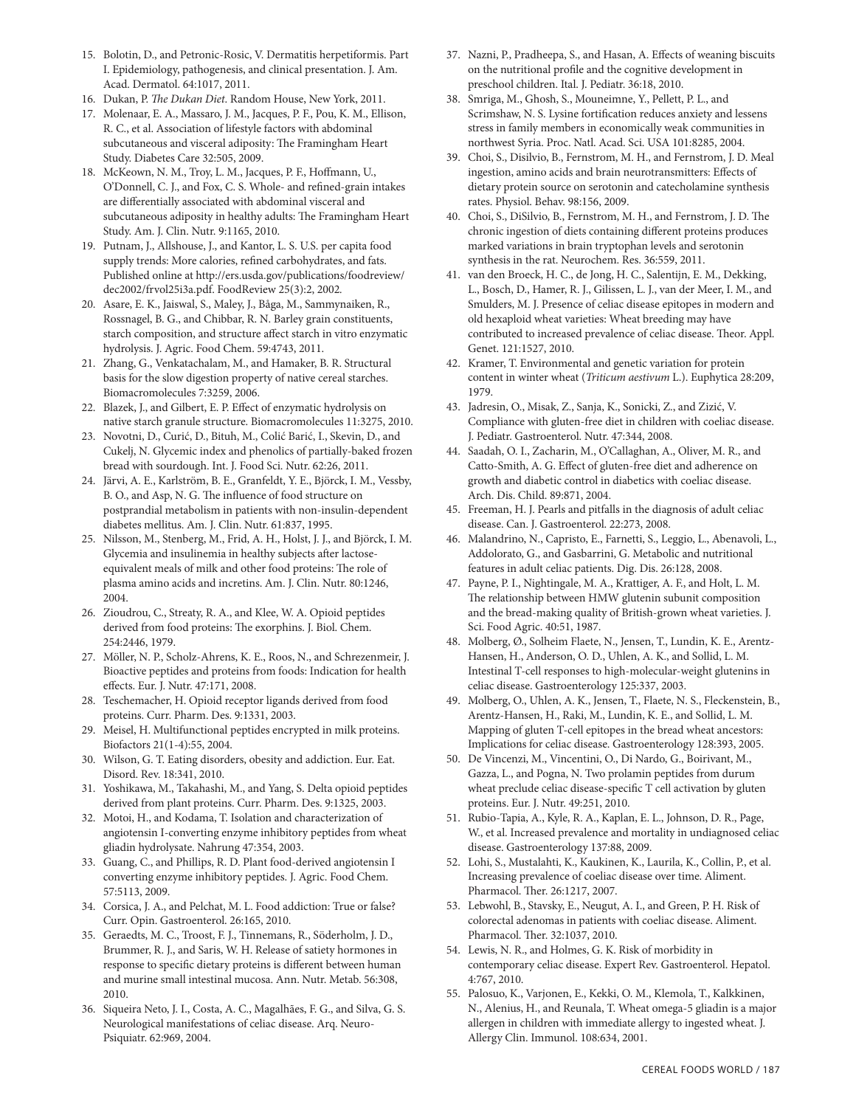- 15. Bolotin, D., and Petronic-Rosic, V. Dermatitis herpetiformis. Part I. Epidemiology, pathogenesis, and clinical presentation. J. Am. Acad. Dermatol. 64:1017, 2011.
- 16. Dukan, P. *The Dukan Diet*. Random House, New York, 2011.
- 17. Molenaar, E. A., Massaro, J. M., Jacques, P. F., Pou, K. M., Ellison, R. C., et al. Association of lifestyle factors with abdominal subcutaneous and visceral adiposity: The Framingham Heart Study. Diabetes Care 32:505, 2009.
- 18. McKeown, N. M., Troy, L. M., Jacques, P. F., Hoffmann, U., O'Donnell, C. J., and Fox, C. S. Whole- and refined-grain intakes are differentially associated with abdominal visceral and subcutaneous adiposity in healthy adults: The Framingham Heart Study. Am. J. Clin. Nutr. 9:1165, 2010.
- 19. Putnam, J., Allshouse, J., and Kantor, L. S. U.S. per capita food supply trends: More calories, refined carbohydrates, and fats. Published online at http://ers.usda.gov/publications/foodreview/ dec2002/frvol25i3a.pdf. FoodReview 25(3):2, 2002*.*
- 20. Asare, E. K., Jaiswal, S., Maley, J., Båga, M., Sammynaiken, R., Rossnagel, B. G., and Chibbar, R. N. Barley grain constituents, starch composition, and structure affect starch in vitro enzymatic hydrolysis. J. Agric. Food Chem. 59:4743, 2011.
- 21. Zhang, G., Venkatachalam, M., and Hamaker, B. R. Structural basis for the slow digestion property of native cereal starches. Biomacromolecules 7:3259, 2006.
- 22. Blazek, J., and Gilbert, E. P. Effect of enzymatic hydrolysis on native starch granule structure. Biomacromolecules 11:3275, 2010.
- 23. Novotni, D., Curić, D., Bituh, M., Colić Barić, I., Skevin, D., and Cukelj, N. Glycemic index and phenolics of partially-baked frozen bread with sourdough. Int. J. Food Sci. Nutr. 62:26, 2011.
- 24. Järvi, A. E., Karlström, B. E., Granfeldt, Y. E., Björck, I. M., Vessby, B. O., and Asp, N. G. The influence of food structure on postprandial metabolism in patients with non-insulin-dependent diabetes mellitus. Am. J. Clin. Nutr. 61:837, 1995.
- 25. Nilsson, M., Stenberg, M., Frid, A. H., Holst, J. J., and Björck, I. M. Glycemia and insulinemia in healthy subjects after lactoseequivalent meals of milk and other food proteins: The role of plasma amino acids and incretins. Am. J. Clin. Nutr. 80:1246, 2004.
- 26. Zioudrou, C., Streaty, R. A., and Klee, W. A. Opioid peptides derived from food proteins: The exorphins. J. Biol. Chem. 254:2446, 1979.
- 27. Möller, N. P., Scholz-Ahrens, K. E., Roos, N., and Schrezenmeir, J. Bioactive peptides and proteins from foods: Indication for health effects. Eur. J. Nutr. 47:171, 2008.
- 28. Teschemacher, H. Opioid receptor ligands derived from food proteins. Curr. Pharm. Des. 9:1331, 2003.
- 29. Meisel, H. Multifunctional peptides encrypted in milk proteins. Biofactors 21(1-4):55, 2004.
- 30. Wilson, G. T. Eating disorders, obesity and addiction. Eur. Eat. Disord. Rev. 18:341, 2010.
- 31. Yoshikawa, M., Takahashi, M., and Yang, S. Delta opioid peptides derived from plant proteins. Curr. Pharm. Des. 9:1325, 2003.
- 32. Motoi, H., and Kodama, T. Isolation and characterization of angiotensin I-converting enzyme inhibitory peptides from wheat gliadin hydrolysate. Nahrung 47:354, 2003.
- 33. Guang, C., and Phillips, R. D. Plant food-derived angiotensin I converting enzyme inhibitory peptides. J. Agric. Food Chem. 57:5113, 2009.
- 34. Corsica, J. A., and Pelchat, M. L. Food addiction: True or false? Curr. Opin. Gastroenterol. 26:165, 2010.
- 35. Geraedts, M. C., Troost, F. J., Tinnemans, R., Söderholm, J. D., Brummer, R. J., and Saris, W. H. Release of satiety hormones in response to specific dietary proteins is different between human and murine small intestinal mucosa. Ann. Nutr. Metab. 56:308, 2010.
- 36. Siqueira Neto, J. I., Costa, A. C., Magalhães, F. G., and Silva, G. S. Neurological manifestations of celiac disease. Arq. Neuro-Psiquiatr. 62:969, 2004.
- 37. Nazni, P., Pradheepa, S., and Hasan, A. Effects of weaning biscuits on the nutritional profile and the cognitive development in preschool children. Ital. J. Pediatr. 36:18, 2010.
- 38. Smriga, M., Ghosh, S., Mouneimne, Y., Pellett, P. L., and Scrimshaw, N. S. Lysine fortification reduces anxiety and lessens stress in family members in economically weak communities in northwest Syria. Proc. Natl. Acad. Sci. USA 101:8285, 2004.
- 39. Choi, S., Disilvio, B., Fernstrom, M. H., and Fernstrom, J. D. Meal ingestion, amino acids and brain neurotransmitters: Effects of dietary protein source on serotonin and catecholamine synthesis rates. Physiol. Behav. 98:156, 2009.
- 40. Choi, S., DiSilvio, B., Fernstrom, M. H., and Fernstrom, J. D. The chronic ingestion of diets containing different proteins produces marked variations in brain tryptophan levels and serotonin synthesis in the rat. Neurochem. Res. 36:559, 2011.
- 41. van den Broeck, H. C., de Jong, H. C., Salentijn, E. M., Dekking, L., Bosch, D., Hamer, R. J., Gilissen, L. J., van der Meer, I. M., and Smulders, M. J. Presence of celiac disease epitopes in modern and old hexaploid wheat varieties: Wheat breeding may have contributed to increased prevalence of celiac disease. Theor. Appl. Genet. 121:1527, 2010.
- 42. Kramer, T. Environmental and genetic variation for protein content in winter wheat (*Triticum aestivum* L.). Euphytica 28:209, 1979.
- 43. Jadresin, O., Misak, Z., Sanja, K., Sonicki, Z., and Zizić, V. Compliance with gluten-free diet in children with coeliac disease. J. Pediatr. Gastroenterol. Nutr. 47:344, 2008.
- 44. Saadah, O. I., Zacharin, M., O'Callaghan, A., Oliver, M. R., and Catto-Smith, A. G. Effect of gluten-free diet and adherence on growth and diabetic control in diabetics with coeliac disease. Arch. Dis. Child. 89:871, 2004.
- 45. Freeman, H. J. Pearls and pitfalls in the diagnosis of adult celiac disease. Can. J. Gastroenterol. 22:273, 2008.
- 46. Malandrino, N., Capristo, E., Farnetti, S., Leggio, L., Abenavoli, L., Addolorato, G., and Gasbarrini, G. Metabolic and nutritional features in adult celiac patients. Dig. Dis. 26:128, 2008.
- 47. Payne, P. I., Nightingale, M. A., Krattiger, A. F., and Holt, L. M. The relationship between HMW glutenin subunit composition and the bread-making quality of British-grown wheat varieties. J. Sci. Food Agric. 40:51, 1987.
- 48. Molberg, Ø., Solheim Flaete, N., Jensen, T., Lundin, K. E., Arentz-Hansen, H., Anderson, O. D., Uhlen, A. K., and Sollid, L. M. Intestinal T-cell responses to high-molecular-weight glutenins in celiac disease. Gastroenterology 125:337, 2003.
- 49. Molberg, O., Uhlen, A. K., Jensen, T., Flaete, N. S., Fleckenstein, B., Arentz-Hansen, H., Raki, M., Lundin, K. E., and Sollid, L. M. Mapping of gluten T-cell epitopes in the bread wheat ancestors: Implications for celiac disease. Gastroenterology 128:393, 2005.
- 50. De Vincenzi, M., Vincentini, O., Di Nardo, G., Boirivant, M., Gazza, L., and Pogna, N. Two prolamin peptides from durum wheat preclude celiac disease-specific T cell activation by gluten proteins. Eur. J. Nutr. 49:251, 2010.
- 51. Rubio-Tapia, A., Kyle, R. A., Kaplan, E. L., Johnson, D. R., Page, W., et al. Increased prevalence and mortality in undiagnosed celiac disease. Gastroenterology 137:88, 2009.
- 52. Lohi, S., Mustalahti, K., Kaukinen, K., Laurila, K., Collin, P., et al. Increasing prevalence of coeliac disease over time. Aliment. Pharmacol. Ther. 26:1217, 2007.
- 53. Lebwohl, B., Stavsky, E., Neugut, A. I., and Green, P. H. Risk of colorectal adenomas in patients with coeliac disease. Aliment. Pharmacol. Ther. 32:1037, 2010.
- 54. Lewis, N. R., and Holmes, G. K. Risk of morbidity in contemporary celiac disease. Expert Rev. Gastroenterol. Hepatol. 4:767, 2010.
- 55. Palosuo, K., Varjonen, E., Kekki, O. M., Klemola, T., Kalkkinen, N., Alenius, H., and Reunala, T. Wheat omega-5 gliadin is a major allergen in children with immediate allergy to ingested wheat. J. Allergy Clin. Immunol. 108:634, 2001.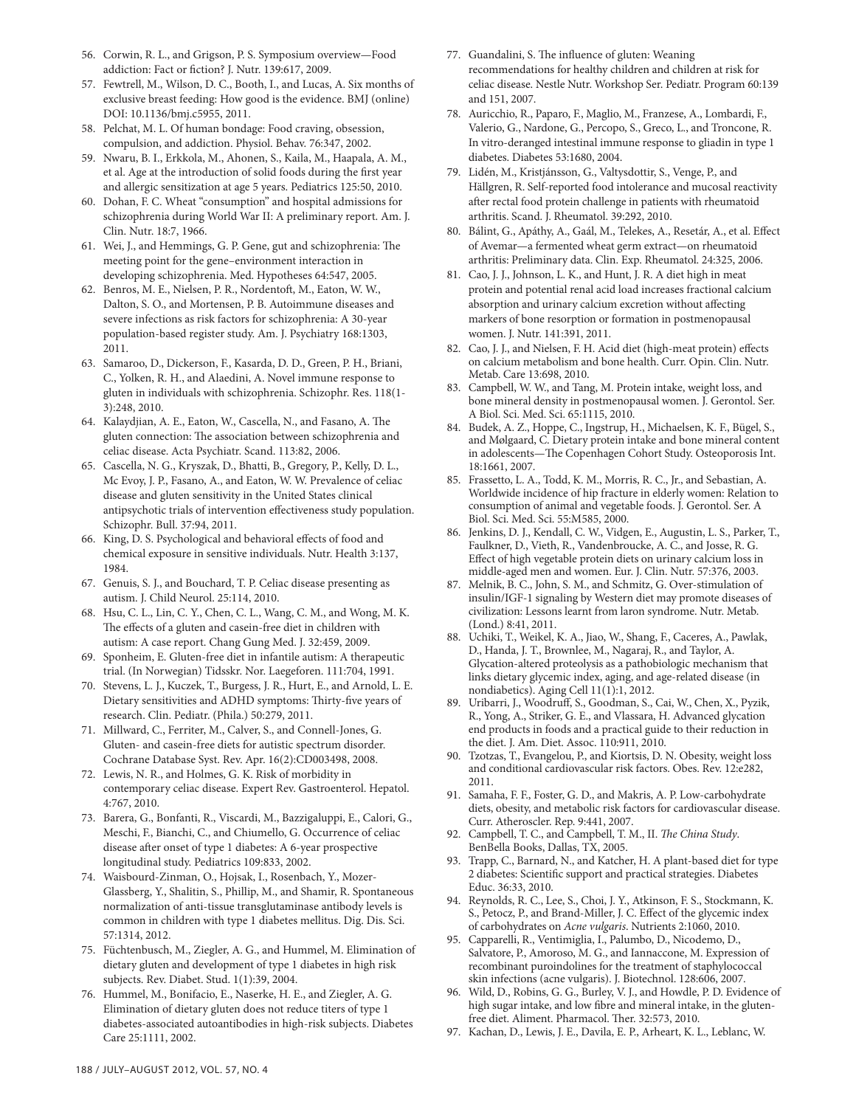- 56. Corwin, R. L., and Grigson, P. S. Symposium overview—Food addiction: Fact or fiction? J. Nutr. 139:617, 2009.
- 57. Fewtrell, M., Wilson, D. C., Booth, I., and Lucas, A. Six months of exclusive breast feeding: How good is the evidence. BMJ (online) DOI: 10.1136/bmj.c5955, 2011.
- 58. Pelchat, M. L. Of human bondage: Food craving, obsession, compulsion, and addiction. Physiol. Behav. 76:347, 2002.
- 59. Nwaru, B. I., Erkkola, M., Ahonen, S., Kaila, M., Haapala, A. M., et al. Age at the introduction of solid foods during the first year and allergic sensitization at age 5 years. Pediatrics 125:50, 2010.
- 60. Dohan, F. C. Wheat "consumption" and hospital admissions for schizophrenia during World War II: A preliminary report. Am. J. Clin. Nutr. 18:7, 1966.
- 61. Wei, J., and Hemmings, G. P. Gene, gut and schizophrenia: The meeting point for the gene–environment interaction in developing schizophrenia. Med. Hypotheses 64:547, 2005.
- 62. Benros, M. E., Nielsen, P. R., Nordentoft, M., Eaton, W. W., Dalton, S. O., and Mortensen, P. B. Autoimmune diseases and severe infections as risk factors for schizophrenia: A 30-year population-based register study. Am. J. Psychiatry 168:1303, 2011.
- 63. Samaroo, D., Dickerson, F., Kasarda, D. D., Green, P. H., Briani, C., Yolken, R. H., and Alaedini, A. Novel immune response to gluten in individuals with schizophrenia. Schizophr. Res. 118(1- 3):248, 2010.
- 64. Kalaydjian, A. E., Eaton, W., Cascella, N., and Fasano, A. The gluten connection: The association between schizophrenia and celiac disease. Acta Psychiatr. Scand. 113:82, 2006.
- 65. Cascella, N. G., Kryszak, D., Bhatti, B., Gregory, P., Kelly, D. L., Mc Evoy, J. P., Fasano, A., and Eaton, W. W. Prevalence of celiac disease and gluten sensitivity in the United States clinical antipsychotic trials of intervention effectiveness study population. Schizophr. Bull. 37:94, 2011.
- 66. King, D. S. Psychological and behavioral effects of food and chemical exposure in sensitive individuals. Nutr. Health 3:137, 1984.
- 67. Genuis, S. J., and Bouchard, T. P. Celiac disease presenting as autism. J. Child Neurol. 25:114, 2010.
- 68. Hsu, C. L., Lin, C. Y., Chen, C. L., Wang, C. M., and Wong, M. K. The effects of a gluten and casein-free diet in children with autism: A case report. Chang Gung Med. J. 32:459, 2009.
- 69. Sponheim, E. Gluten-free diet in infantile autism: A therapeutic trial. (In Norwegian) Tidsskr. Nor. Laegeforen. 111:704, 1991.
- 70. Stevens, L. J., Kuczek, T., Burgess, J. R., Hurt, E., and Arnold, L. E. Dietary sensitivities and ADHD symptoms: Thirty-five years of research. Clin. Pediatr. (Phila.) 50:279, 2011.
- 71. Millward, C., Ferriter, M., Calver, S., and Connell-Jones, G. Gluten- and casein-free diets for autistic spectrum disorder. Cochrane Database Syst. Rev. Apr. 16(2):CD003498, 2008.
- 72. Lewis, N. R., and Holmes, G. K. Risk of morbidity in contemporary celiac disease. Expert Rev. Gastroenterol. Hepatol. 4:767, 2010.
- 73. Barera, G., Bonfanti, R., Viscardi, M., Bazzigaluppi, E., Calori, G., Meschi, F., Bianchi, C., and Chiumello, G. Occurrence of celiac disease after onset of type 1 diabetes: A 6-year prospective longitudinal study. Pediatrics 109:833, 2002.
- 74. Waisbourd-Zinman, O., Hojsak, I., Rosenbach, Y., Mozer-Glassberg, Y., Shalitin, S., Phillip, M., and Shamir, R. Spontaneous normalization of anti-tissue transglutaminase antibody levels is common in children with type 1 diabetes mellitus. Dig. Dis. Sci. 57:1314, 2012.
- 75. Füchtenbusch, M., Ziegler, A. G., and Hummel, M. Elimination of dietary gluten and development of type 1 diabetes in high risk subjects. Rev. Diabet. Stud. 1(1):39, 2004.
- 76. Hummel, M., Bonifacio, E., Naserke, H. E., and Ziegler, A. G. Elimination of dietary gluten does not reduce titers of type 1 diabetes-associated autoantibodies in high-risk subjects. Diabetes Care 25:1111, 2002.
- 77. Guandalini, S. The influence of gluten: Weaning recommendations for healthy children and children at risk for celiac disease. Nestle Nutr. Workshop Ser. Pediatr. Program 60:139 and 151, 2007.
- 78. Auricchio, R., Paparo, F., Maglio, M., Franzese, A., Lombardi, F., Valerio, G., Nardone, G., Percopo, S., Greco, L., and Troncone, R. In vitro-deranged intestinal immune response to gliadin in type 1 diabetes. Diabetes 53:1680, 2004.
- 79. Lidén, M., Kristjánsson, G., Valtysdottir, S., Venge, P., and Hällgren, R. Self-reported food intolerance and mucosal reactivity after rectal food protein challenge in patients with rheumatoid arthritis. Scand. J. Rheumatol. 39:292, 2010.
- 80. Bálint, G., Apáthy, A., Gaál, M., Telekes, A., Resetár, A., et al. Effect of Avemar—a fermented wheat germ extract—on rheumatoid arthritis: Preliminary data. Clin. Exp. Rheumatol. 24:325, 2006.
- 81. Cao, J. J., Johnson, L. K., and Hunt, J. R. A diet high in meat protein and potential renal acid load increases fractional calcium absorption and urinary calcium excretion without affecting markers of bone resorption or formation in postmenopausal women. J. Nutr. 141:391, 2011.
- 82. Cao, J. J., and Nielsen, F. H. Acid diet (high-meat protein) effects on calcium metabolism and bone health. Curr. Opin. Clin. Nutr. Metab. Care 13:698, 2010.
- 83. Campbell, W. W., and Tang, M. Protein intake, weight loss, and bone mineral density in postmenopausal women. J. Gerontol. Ser. A Biol. Sci. Med. Sci. 65:1115, 2010.
- 84. Budek, A. Z., Hoppe, C., Ingstrup, H., Michaelsen, K. F., Bügel, S., and Mølgaard, C. Dietary protein intake and bone mineral content in adolescents—The Copenhagen Cohort Study. Osteoporosis Int. 18:1661, 2007.
- 85. Frassetto, L. A., Todd, K. M., Morris, R. C., Jr., and Sebastian, A. Worldwide incidence of hip fracture in elderly women: Relation to consumption of animal and vegetable foods. J. Gerontol. Ser. A Biol. Sci. Med. Sci. 55:M585, 2000.
- 86. Jenkins, D. J., Kendall, C. W., Vidgen, E., Augustin, L. S., Parker, T., Faulkner, D., Vieth, R., Vandenbroucke, A. C., and Josse, R. G. Effect of high vegetable protein diets on urinary calcium loss in middle-aged men and women. Eur. J. Clin. Nutr. 57:376, 2003.
- 87. Melnik, B. C., John, S. M., and Schmitz, G. Over-stimulation of insulin/IGF-1 signaling by Western diet may promote diseases of civilization: Lessons learnt from laron syndrome. Nutr. Metab. (Lond.) 8:41, 2011.
- 88. Uchiki, T., Weikel, K. A., Jiao, W., Shang, F., Caceres, A., Pawlak, D., Handa, J. T., Brownlee, M., Nagaraj, R., and Taylor, A. Glycation-altered proteolysis as a pathobiologic mechanism that links dietary glycemic index, aging, and age-related disease (in nondiabetics). Aging Cell 11(1):1, 2012.
- 89. Uribarri, J., Woodruff, S., Goodman, S., Cai, W., Chen, X., Pyzik, R., Yong, A., Striker, G. E., and Vlassara, H. Advanced glycation end products in foods and a practical guide to their reduction in the diet. J. Am. Diet. Assoc. 110:911, 2010.
- 90. Tzotzas, T., Evangelou, P., and Kiortsis, D. N. Obesity, weight loss and conditional cardiovascular risk factors. Obes. Rev. 12:e282, 2011.
- 91. Samaha, F. F., Foster, G. D., and Makris, A. P. Low-carbohydrate diets, obesity, and metabolic risk factors for cardiovascular disease. Curr. Atheroscler. Rep. 9:441, 2007.
- 92. Campbell, T. C., and Campbell, T. M., II. *The China Study*. BenBella Books, Dallas, TX, 2005.
- 93. Trapp, C., Barnard, N., and Katcher, H. A plant-based diet for type 2 diabetes: Scientific support and practical strategies. Diabetes Educ. 36:33, 2010.
- 94. Reynolds, R. C., Lee, S., Choi, J. Y., Atkinson, F. S., Stockmann, K. S., Petocz, P., and Brand-Miller, J. C. Effect of the glycemic index of carbohydrates on *Acne vulgaris*. Nutrients 2:1060, 2010.
- 95. Capparelli, R., Ventimiglia, I., Palumbo, D., Nicodemo, D., Salvatore, P., Amoroso, M. G., and Iannaccone, M. Expression of recombinant puroindolines for the treatment of staphylococcal skin infections (acne vulgaris). J. Biotechnol. 128:606, 2007.
- 96. Wild, D., Robins, G. G., Burley, V. J., and Howdle, P. D. Evidence of high sugar intake, and low fibre and mineral intake, in the glutenfree diet. Aliment. Pharmacol. Ther. 32:573, 2010.
- 97. Kachan, D., Lewis, J. E., Davila, E. P., Arheart, K. L., Leblanc, W.